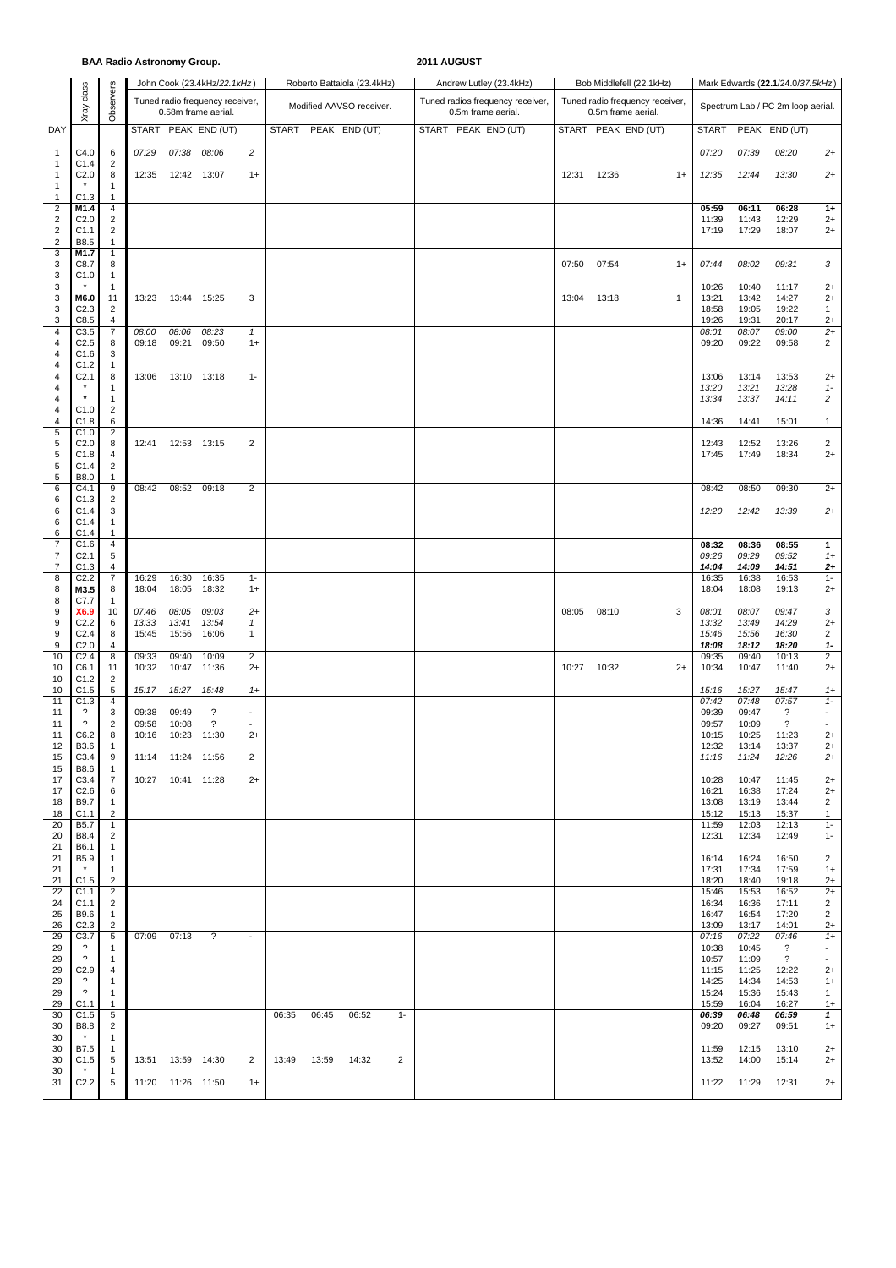|                                         |                            |                                  | <b>BAA Radio Astronomy Group.</b> |                     |                                                        |                          |       |       |                             |       | 2011 AUGUST |                                                        |  |       |                     |                                 |              |                                  |                |                                            |                                    |  |
|-----------------------------------------|----------------------------|----------------------------------|-----------------------------------|---------------------|--------------------------------------------------------|--------------------------|-------|-------|-----------------------------|-------|-------------|--------------------------------------------------------|--|-------|---------------------|---------------------------------|--------------|----------------------------------|----------------|--------------------------------------------|------------------------------------|--|
|                                         |                            |                                  |                                   |                     | John Cook (23.4kHz/22.1kHz)                            |                          |       |       | Roberto Battaiola (23.4kHz) |       |             | Andrew Lutley (23.4kHz)                                |  |       |                     | Bob Middlefell (22.1kHz)        |              | Mark Edwards (22.1/24.0/37.5kHz) |                |                                            |                                    |  |
|                                         | class<br>Xray              | Observers                        |                                   |                     | Tuned radio frequency receiver,<br>0.58m frame aerial. |                          |       |       | Modified AAVSO receiver.    |       |             | Tuned radios frequency receiver,<br>0.5m frame aerial. |  |       | 0.5m frame aerial.  | Tuned radio frequency receiver, |              |                                  |                | Spectrum Lab / PC 2m loop aerial.          |                                    |  |
| DAY                                     |                            |                                  |                                   |                     | START PEAK END (UT)                                    |                          |       |       | START PEAK END (UT)         |       |             | START PEAK END (UT)                                    |  |       | START PEAK END (UT) |                                 |              | <b>START</b>                     |                | PEAK END (UT)                              |                                    |  |
| $\mathbf{1}$                            | C4.0                       | 6                                | 07:29                             | 07:38               | 08:06                                                  | $\overline{c}$           |       |       |                             |       |             |                                                        |  |       |                     |                                 |              | 07:20                            | 07:39          | 08:20                                      | $2+$                               |  |
| 1<br>$\mathbf{1}$                       | C1.4<br>C <sub>2.0</sub>   | 2<br>8                           | 12:35                             | 12:42 13:07         |                                                        | $1+$                     |       |       |                             |       |             |                                                        |  | 12:31 | 12:36               |                                 | $1+$         | 12:35                            | 12:44          | 13:30                                      | $2+$                               |  |
| $\mathbf{1}$                            |                            | 1                                |                                   |                     |                                                        |                          |       |       |                             |       |             |                                                        |  |       |                     |                                 |              |                                  |                |                                            |                                    |  |
| $\mathbf{1}$<br>$\overline{\mathbf{c}}$ | C1.3<br>M1.4               | $\mathbf{1}$<br>$\overline{4}$   |                                   |                     |                                                        |                          |       |       |                             |       |             |                                                        |  |       |                     |                                 |              | 05:59                            | 06:11          | 06:28                                      | $1+$                               |  |
| $\overline{c}$<br>$\overline{c}$        | C <sub>2.0</sub><br>C1.1   | $\overline{2}$<br>$\overline{c}$ |                                   |                     |                                                        |                          |       |       |                             |       |             |                                                        |  |       |                     |                                 |              | 11:39<br>17:19                   | 11:43<br>17:29 | 12:29<br>18:07                             | $2+$<br>$2+$                       |  |
| 2                                       | B8.5                       | $\mathbf{1}$<br>$\mathbf{1}$     |                                   |                     |                                                        |                          |       |       |                             |       |             |                                                        |  |       |                     |                                 |              |                                  |                |                                            |                                    |  |
| 3<br>3                                  | M1.7<br>C8.7               | 8                                |                                   |                     |                                                        |                          |       |       |                             |       |             |                                                        |  | 07:50 | 07:54               |                                 | $1+$         | 07:44                            | 08:02          | 09:31                                      | 3                                  |  |
| 3<br>3                                  | C1.0                       | $\mathbf{1}$<br>$\mathbf{1}$     |                                   |                     |                                                        |                          |       |       |                             |       |             |                                                        |  |       |                     |                                 |              | 10:26                            | 10:40          | 11:17                                      | $2+$                               |  |
| 3<br>3                                  | M6.0<br>C <sub>2.3</sub>   | 11<br>2                          | 13:23                             | 13:44 15:25         |                                                        | 3                        |       |       |                             |       |             |                                                        |  | 13:04 | 13:18               |                                 | $\mathbf{1}$ | 13:21<br>18:58                   | 13:42<br>19:05 | 14:27<br>19:22                             | $2+$<br>1                          |  |
| 3                                       | C8.5                       | 4                                |                                   |                     |                                                        |                          |       |       |                             |       |             |                                                        |  |       |                     |                                 |              | 19:26                            | 19:31          | 20:17                                      | $2+$                               |  |
| 4<br>4                                  | C3.5<br>C2.5               | $\overline{7}$<br>8              | 08:00<br>09:18                    | 08:06<br>09:21      | 08:23<br>09:50                                         | $\mathbf{1}$<br>$1+$     |       |       |                             |       |             |                                                        |  |       |                     |                                 |              | 08:01<br>09:20                   | 08:07<br>09:22 | 09:00<br>09:58                             | $2+$<br>$\overline{2}$             |  |
| 4<br>4                                  | C1.6<br>C1.2               | 3<br>1                           |                                   |                     |                                                        |                          |       |       |                             |       |             |                                                        |  |       |                     |                                 |              |                                  |                |                                            |                                    |  |
| 4                                       | C <sub>2.1</sub>           | 8                                | 13:06                             | 13:10               | 13:18                                                  | $1 -$                    |       |       |                             |       |             |                                                        |  |       |                     |                                 |              | 13:06                            | 13:14          | 13:53                                      | $2+$                               |  |
| 4<br>4                                  |                            | 1<br>$\mathbf{1}$                |                                   |                     |                                                        |                          |       |       |                             |       |             |                                                        |  |       |                     |                                 |              | 13:20<br>13:34                   | 13:21<br>13:37 | 13:28<br>14:11                             | $1 -$<br>$\overline{c}$            |  |
| 4<br>4                                  | C1.0<br>C1.8               | $\overline{c}$<br>6              |                                   |                     |                                                        |                          |       |       |                             |       |             |                                                        |  |       |                     |                                 |              | 14:36                            | 14:41          | 15:01                                      | 1                                  |  |
| 5                                       | C1.0                       | $\overline{c}$                   |                                   |                     |                                                        |                          |       |       |                             |       |             |                                                        |  |       |                     |                                 |              |                                  |                |                                            |                                    |  |
| 5<br>5                                  | C2.0<br>C1.8               | 8<br>4                           | 12:41                             |                     | 12:53 13:15                                            | $\overline{c}$           |       |       |                             |       |             |                                                        |  |       |                     |                                 |              | 12:43<br>17:45                   | 12:52<br>17:49 | 13:26<br>18:34                             | $\overline{2}$<br>$2+$             |  |
| 5<br>5                                  | C1.4<br>B8.0               | $\overline{2}$<br>$\mathbf{1}$   |                                   |                     |                                                        |                          |       |       |                             |       |             |                                                        |  |       |                     |                                 |              |                                  |                |                                            |                                    |  |
| 6<br>6                                  | C4.1<br>C1.3               | 9<br>$\overline{2}$              | 08:42                             | 08:52               | 09:18                                                  | $\overline{2}$           |       |       |                             |       |             |                                                        |  |       |                     |                                 |              | 08:42                            | 08:50          | 09:30                                      | $2+$                               |  |
| 6                                       | C1.4                       | 3                                |                                   |                     |                                                        |                          |       |       |                             |       |             |                                                        |  |       |                     |                                 |              | 12:20                            | 12:42          | 13:39                                      | $2+$                               |  |
| 6<br>6                                  | C1.4<br>C1.4               | $\mathbf{1}$<br>1                |                                   |                     |                                                        |                          |       |       |                             |       |             |                                                        |  |       |                     |                                 |              |                                  |                |                                            |                                    |  |
| 7<br>$\overline{7}$                     | C1.6<br>C <sub>2.1</sub>   | 4<br>5                           |                                   |                     |                                                        |                          |       |       |                             |       |             |                                                        |  |       |                     |                                 |              | 08:32<br>09:26                   | 08:36<br>09:29 | 08:55<br>09:52                             | $\mathbf{1}$<br>$1+$               |  |
| 7                                       | C1.3                       | 4                                |                                   |                     |                                                        |                          |       |       |                             |       |             |                                                        |  |       |                     |                                 |              | 14:04                            | 14:09          | 14:51                                      | $^{2+}$                            |  |
| 8<br>8                                  | C2.2<br>M3.5               | $\overline{7}$<br>8              | 16:29<br>18:04                    | 16:30<br>18:05      | 16:35<br>18:32                                         | $1 -$<br>$1+$            |       |       |                             |       |             |                                                        |  |       |                     |                                 |              | 16:35<br>18:04                   | 16:38<br>18:08 | 16:53<br>19:13                             | $1 -$<br>$2+$                      |  |
| 8<br>9                                  | C7.7<br>X6.9               | 1<br>10                          | 07:46                             | 08:05               | 09:03                                                  | $2+$                     |       |       |                             |       |             |                                                        |  | 08:05 | 08:10               |                                 | 3            | 08:01                            | 08:07          | 09:47                                      | 3                                  |  |
| 9<br>9                                  | C2.2<br>C <sub>2.4</sub>   | 6<br>8                           | 13:33<br>15:45                    | 13:41<br>15:56      | 13:54<br>16:06                                         | 1<br>1                   |       |       |                             |       |             |                                                        |  |       |                     |                                 |              | 13:32<br>15:46                   | 13:49<br>15:56 | 14:29<br>16:30                             | $2+$<br>$\overline{2}$             |  |
| 9                                       | C <sub>2.0</sub>           | 4                                |                                   |                     |                                                        |                          |       |       |                             |       |             |                                                        |  |       |                     |                                 |              | 18:08                            | 18:12          | 18:20                                      | 1-                                 |  |
| 10<br>10                                | C <sub>2.4</sub><br>C6.1   | 8<br>11                          | 09:33<br>10:32                    | 09:40<br>10:47      | 10:09<br>11:36                                         | 2<br>$2+$                |       |       |                             |       |             |                                                        |  | 10:27 | 10:32               |                                 | $2+$         | 09:35<br>10:34                   | 09:40<br>10:47 | 10:13<br>11:40                             | $\overline{2}$<br>$2+$             |  |
| 10<br>10                                | C1.2<br>C1.5               | 2<br>$\sqrt{5}$                  | 15:17                             | 15:27               | 15:48                                                  | $1+$                     |       |       |                             |       |             |                                                        |  |       |                     |                                 |              | 15:16                            | 15:27          | 15:47                                      | $1+$                               |  |
| 11<br>11                                | C1.3<br>$\overline{\cdot}$ | 4<br>3                           | 09:38                             | 09:49               | $\overline{\mathbf{?}}$                                | $\sim$                   |       |       |                             |       |             |                                                        |  |       |                     |                                 |              | 07:42<br>09:39                   | 07:48<br>09:47 | 07:57<br>$\overline{\phantom{0}}$          | $1 -$<br>$\overline{\phantom{a}}$  |  |
| 11                                      | $\overline{\phantom{a}}$   | $\overline{2}$                   | 09:58                             | 10:08               | $\overline{\phantom{a}}$                               |                          |       |       |                             |       |             |                                                        |  |       |                     |                                 |              | 09:57                            | 10:09          | $\overline{\phantom{a}}$                   |                                    |  |
| 11<br>12                                | C6.2<br><b>B3.6</b>        | 8<br>$\overline{1}$              | 10:16                             | 10:23 11:30         |                                                        | $2+$                     |       |       |                             |       |             |                                                        |  |       |                     |                                 |              | 10:15<br>12:32                   | 10:25<br>13:14 | 11:23<br>13:37                             | $2+$<br>$2+$                       |  |
| 15<br>15                                | C3.4<br>B8.6               | 9<br>$\mathbf{1}$                |                                   | 11:14 11:24 11:56   |                                                        | 2                        |       |       |                             |       |             |                                                        |  |       |                     |                                 |              | 11:16                            | 11:24          | 12:26                                      | $2+$                               |  |
| 17                                      | C3.4                       | $\overline{7}$                   |                                   | 10:27  10:41  11:28 |                                                        | $2+$                     |       |       |                             |       |             |                                                        |  |       |                     |                                 |              | 10:28                            | 10:47          | 11:45                                      | $2+$                               |  |
| 17<br>18                                | C <sub>2.6</sub><br>B9.7   | 6<br>$\mathbf{1}$                |                                   |                     |                                                        |                          |       |       |                             |       |             |                                                        |  |       |                     |                                 |              | 16:21<br>13:08                   | 16:38<br>13:19 | 17:24<br>13:44                             | $2+$<br>$\overline{2}$             |  |
| 18<br>20                                | C1.1<br><b>B5.7</b>        | $\overline{2}$<br>$\overline{1}$ |                                   |                     |                                                        |                          |       |       |                             |       |             |                                                        |  |       |                     |                                 |              | 15:12<br>11:59                   | 15:13<br>12:03 | 15:37<br>12:13                             | $\mathbf{1}$<br>$1 -$              |  |
| 20<br>21                                | B8.4<br>B6.1               | $\overline{c}$<br>$\mathbf{1}$   |                                   |                     |                                                        |                          |       |       |                             |       |             |                                                        |  |       |                     |                                 |              | 12:31                            | 12:34          | 12:49                                      | $1 -$                              |  |
| 21                                      | B5.9                       | $\overline{1}$                   |                                   |                     |                                                        |                          |       |       |                             |       |             |                                                        |  |       |                     |                                 |              | 16:14                            | 16:24          | 16:50                                      | $\overline{2}$                     |  |
| 21<br>21                                | $\star$<br>C1.5            | $\mathbf{1}$<br>$\overline{2}$   |                                   |                     |                                                        |                          |       |       |                             |       |             |                                                        |  |       |                     |                                 |              | 17:31<br>18:20                   | 17:34<br>18:40 | 17:59<br>19:18                             | $1+$<br>$2+$                       |  |
| 22<br>24                                | C1.1<br>C1.1               | $\overline{2}$<br>2              |                                   |                     |                                                        |                          |       |       |                             |       |             |                                                        |  |       |                     |                                 |              | 15:46<br>16:34                   | 15:53<br>16:36 | 16:52<br>17:11                             | $2+$<br>$\overline{2}$             |  |
| 25                                      | B9.6                       | $\mathbf{1}$                     |                                   |                     |                                                        |                          |       |       |                             |       |             |                                                        |  |       |                     |                                 |              | 16:47                            | 16:54          | 17:20                                      | 2                                  |  |
| 26<br>29                                | C <sub>2.3</sub><br>C3.7   | 2<br>5                           | 07:09                             | 07:13               | $\overline{?}$                                         | $\overline{\phantom{a}}$ |       |       |                             |       |             |                                                        |  |       |                     |                                 |              | 13:09<br>07:16                   | 13:17<br>07:22 | 14:01<br>07:46                             | $2+$<br>$1+$                       |  |
| 29<br>29                                | ?<br>$\overline{\cdot}$    | -1<br>$\overline{1}$             |                                   |                     |                                                        |                          |       |       |                             |       |             |                                                        |  |       |                     |                                 |              | 10:38<br>10:57                   | 10:45<br>11:09 | $\overline{?}$<br>$\overline{\mathcal{E}}$ | $\overline{\phantom{a}}$<br>$\sim$ |  |
| 29                                      | C2.9                       | $\overline{4}$                   |                                   |                     |                                                        |                          |       |       |                             |       |             |                                                        |  |       |                     |                                 |              | 11:15                            | 11:25          | 12:22                                      | $2+$                               |  |
| 29<br>29                                | ?<br>$\overline{\cdot}$    | $\mathbf{1}$<br>$\mathbf{1}$     |                                   |                     |                                                        |                          |       |       |                             |       |             |                                                        |  |       |                     |                                 |              | 14:25<br>15:24                   | 14:34<br>15:36 | 14:53<br>15:43                             | $1+$<br>1                          |  |
| 29<br>30                                | C1.1<br>C1.5               | $\mathbf{1}$<br>$\sqrt{5}$       |                                   |                     |                                                        |                          | 06:35 | 06:45 | 06:52                       | $1 -$ |             |                                                        |  |       |                     |                                 |              | 15:59<br>06:39                   | 16:04<br>06:48 | 16:27<br>06:59                             | $1+$<br>$\mathbf{1}$               |  |
| 30<br>30                                | B8.8                       | $\overline{2}$<br>1              |                                   |                     |                                                        |                          |       |       |                             |       |             |                                                        |  |       |                     |                                 |              | 09:20                            | 09:27          | 09:51                                      | $1+$                               |  |
| 30                                      | B7.5                       | $\overline{1}$                   |                                   |                     |                                                        |                          |       |       |                             |       |             |                                                        |  |       |                     |                                 |              | 11:59                            | 12:15          | 13:10                                      | $2+$                               |  |
| 30<br>30                                | C1.5                       | 5<br>-1                          |                                   | 13:51  13:59  14:30 |                                                        | 2                        | 13:49 | 13:59 | 14:32                       | 2     |             |                                                        |  |       |                     |                                 |              | 13:52                            | 14:00          | 15:14                                      | $2+$                               |  |
| 31                                      | C <sub>2.2</sub>           | 5                                |                                   | 11:20  11:26  11:50 |                                                        | $1+$                     |       |       |                             |       |             |                                                        |  |       |                     |                                 |              | 11:22                            | 11:29          | 12:31                                      | $2+$                               |  |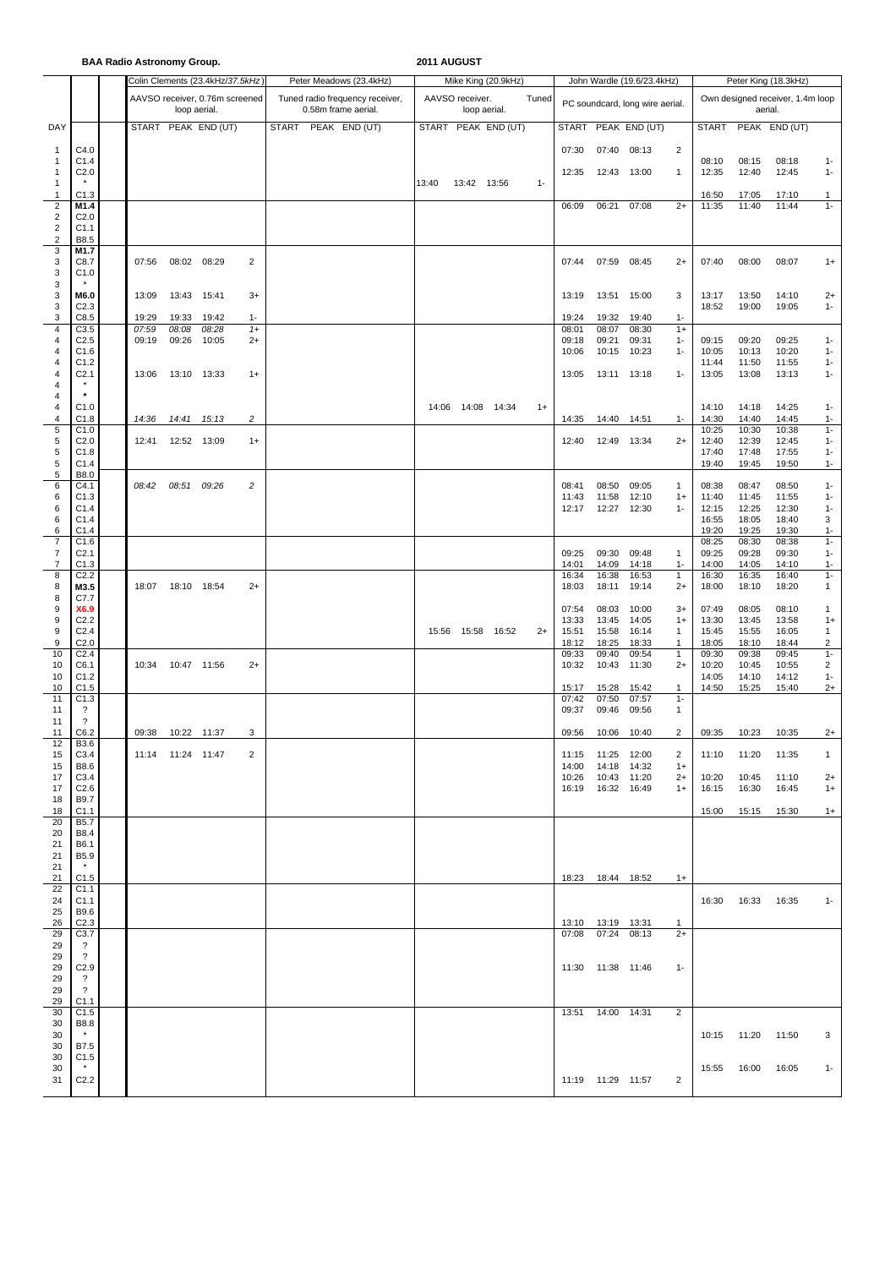**BAA Radio Astronomy Group. 2011 AUGUST**

|     |                    |       | <b>DAA NGUNA ASH VIIVIIIY OF VUP.</b> |                                  |       |                                 | <u>EVILLOUUT</u>    |                 |                     |       |       |                     |                                 |                |                      |         |                                  |         |  |
|-----|--------------------|-------|---------------------------------------|----------------------------------|-------|---------------------------------|---------------------|-----------------|---------------------|-------|-------|---------------------|---------------------------------|----------------|----------------------|---------|----------------------------------|---------|--|
|     |                    |       |                                       | Colin Clements (23.4kHz/37.5kHz) |       | Peter Meadows (23.4kHz)         |                     |                 | Mike King (20.9kHz) |       |       |                     | John Wardle (19.6/23.4kHz)      |                | Peter King (18.3kHz) |         |                                  |         |  |
|     |                    |       |                                       |                                  |       |                                 |                     |                 |                     |       |       |                     |                                 |                |                      |         |                                  |         |  |
|     |                    |       |                                       | AAVSO receiver, 0.76m screened   |       | Tuned radio frequency receiver, |                     | AAVSO receiver. |                     | Tuned |       |                     | PC soundcard, long wire aerial. |                |                      |         | Own designed receiver, 1.4m loop |         |  |
|     |                    |       | loop aerial.                          |                                  |       | 0.58m frame aerial.             |                     |                 | loop aerial.        |       |       |                     |                                 |                |                      | aerial. |                                  |         |  |
|     |                    |       |                                       |                                  |       |                                 |                     |                 |                     |       |       |                     |                                 |                |                      |         |                                  |         |  |
| DAY |                    |       |                                       | START PEAK END (UT)              |       | <b>START</b><br>PEAK END (UT)   | START PEAK END (UT) |                 |                     |       |       |                     | START PEAK END (UT)             |                | <b>START</b>         |         | PEAK END (UT)                    |         |  |
|     |                    |       |                                       |                                  |       |                                 |                     |                 |                     |       |       |                     |                                 |                |                      |         |                                  |         |  |
| 1   | C4.0               |       |                                       |                                  |       |                                 |                     |                 |                     |       | 07:30 | 07:40 08:13         |                                 | 2              |                      |         |                                  |         |  |
| 1   | C1.4               |       |                                       |                                  |       |                                 |                     |                 |                     |       |       |                     |                                 |                | 08:10                | 08:15   | 08:18                            | $1 -$   |  |
| 1   | C <sub>2.0</sub>   |       |                                       |                                  |       |                                 |                     |                 |                     |       | 12:35 | 12:43               | 13:00                           | $\overline{1}$ | 12:35                | 12:40   | 12:45                            | $1 -$   |  |
|     |                    |       |                                       |                                  |       |                                 |                     |                 |                     |       |       |                     |                                 |                |                      |         |                                  |         |  |
| 1   |                    |       |                                       |                                  |       |                                 | 13:40               | 13:42 13:56     |                     | $1 -$ |       |                     |                                 |                |                      |         |                                  |         |  |
| 1   | C1.3               |       |                                       |                                  |       |                                 |                     |                 |                     |       |       |                     |                                 |                | 16:50                | 17:05   | 17:10                            | 1       |  |
| 2   | M1.4               |       |                                       |                                  |       |                                 |                     |                 |                     |       | 06:09 | 06:21               | 07:08                           | $2+$           | 11:35                | 11:40   | 11:44                            | $1 -$   |  |
| 2   | C <sub>2.0</sub>   |       |                                       |                                  |       |                                 |                     |                 |                     |       |       |                     |                                 |                |                      |         |                                  |         |  |
| 2   | C1.1               |       |                                       |                                  |       |                                 |                     |                 |                     |       |       |                     |                                 |                |                      |         |                                  |         |  |
|     |                    |       |                                       |                                  |       |                                 |                     |                 |                     |       |       |                     |                                 |                |                      |         |                                  |         |  |
| 2   | B8.5               |       |                                       |                                  |       |                                 |                     |                 |                     |       |       |                     |                                 |                |                      |         |                                  |         |  |
| 3   | M1.7               |       |                                       |                                  |       |                                 |                     |                 |                     |       |       |                     |                                 |                |                      |         |                                  |         |  |
| 3   | C8.7               | 07:56 | 08:02 08:29                           |                                  | 2     |                                 |                     |                 |                     |       | 07:44 | 07:59               | 08:45                           | $2+$           | 07:40                | 08:00   | 08:07                            | $1+$    |  |
| 3   | C1.0               |       |                                       |                                  |       |                                 |                     |                 |                     |       |       |                     |                                 |                |                      |         |                                  |         |  |
| 3   |                    |       |                                       |                                  |       |                                 |                     |                 |                     |       |       |                     |                                 |                |                      |         |                                  |         |  |
|     | M6.0               |       |                                       |                                  | $3+$  |                                 |                     |                 |                     |       |       |                     |                                 |                |                      | 13:50   |                                  |         |  |
| 3   |                    | 13:09 | 13:43                                 | 15:41                            |       |                                 |                     |                 |                     |       | 13:19 | 13:51               | 15:00                           | 3              | 13:17                |         | 14:10                            | $^{2+}$ |  |
| 3   | C <sub>2.3</sub>   |       |                                       |                                  |       |                                 |                     |                 |                     |       |       |                     |                                 |                | 18:52                | 19:00   | 19:05                            | $1 -$   |  |
| 3   | C8.5               | 19:29 | 19:33                                 | 19:42                            | $1 -$ |                                 |                     |                 |                     |       | 19:24 | 19:32               | 19:40                           | $1 -$          |                      |         |                                  |         |  |
| 4   | C3.5               | 07:59 | 08:08                                 | 08:28                            | $1+$  |                                 |                     |                 |                     |       | 08:01 | 08:07               | 08:30                           | $1+$           |                      |         |                                  |         |  |
| 4   | C <sub>2.5</sub>   | 09:19 | 09:26                                 | 10:05                            | $2+$  |                                 |                     |                 |                     |       | 09:18 | 09:21               | 09:31                           | $1 -$          | 09:15                | 09:20   | 09:25                            | $1 -$   |  |
| 4   | C1.6               |       |                                       |                                  |       |                                 |                     |                 |                     |       | 10:06 | 10:15               | 10:23                           | $1 -$          | 10:05                | 10:13   | 10:20                            | $1 -$   |  |
|     |                    |       |                                       |                                  |       |                                 |                     |                 |                     |       |       |                     |                                 |                |                      |         |                                  |         |  |
| 4   | C1.2               |       |                                       |                                  |       |                                 |                     |                 |                     |       |       |                     |                                 |                | 11:44                | 11:50   | 11:55                            | $1 -$   |  |
| 4   | C <sub>2.1</sub>   | 13:06 | 13:10 13:33                           |                                  | $1+$  |                                 |                     |                 |                     |       | 13:05 | 13:11 13:18         |                                 | $1 -$          | 13:05                | 13:08   | 13:13                            | $1 -$   |  |
| 4   |                    |       |                                       |                                  |       |                                 |                     |                 |                     |       |       |                     |                                 |                |                      |         |                                  |         |  |
| 4   |                    |       |                                       |                                  |       |                                 |                     |                 |                     |       |       |                     |                                 |                |                      |         |                                  |         |  |
| 4   | C1.0               |       |                                       |                                  |       |                                 |                     |                 | 14:06  14:08  14:34 | $1+$  |       |                     |                                 |                | 14:10                | 14:18   | 14:25                            | $1 -$   |  |
| 4   |                    |       |                                       |                                  |       |                                 |                     |                 |                     |       |       |                     |                                 |                |                      |         |                                  |         |  |
|     | C1.8               | 14:36 | 14:41                                 | 15:13                            | 2     |                                 |                     |                 |                     |       | 14:35 | 14:40               | 14:51                           | $1 -$          | 14:30                | 14:40   | 14:45                            | $1 -$   |  |
| 5   | C1.0               |       |                                       |                                  |       |                                 |                     |                 |                     |       |       |                     |                                 |                | 10:25                | 10:30   | 10:38                            | $1 -$   |  |
| 5   | C <sub>2.0</sub>   | 12:41 | 12:52 13:09                           |                                  | $1+$  |                                 |                     |                 |                     |       | 12:40 | 12:49 13:34         |                                 | $2+$           | 12:40                | 12:39   | 12:45                            | $1 -$   |  |
| 5   | C1.8               |       |                                       |                                  |       |                                 |                     |                 |                     |       |       |                     |                                 |                | 17:40                | 17:48   | 17:55                            | $1 -$   |  |
| 5   | C1.4               |       |                                       |                                  |       |                                 |                     |                 |                     |       |       |                     |                                 |                | 19:40                | 19:45   | 19:50                            | $1 -$   |  |
|     |                    |       |                                       |                                  |       |                                 |                     |                 |                     |       |       |                     |                                 |                |                      |         |                                  |         |  |
| 5   | B8.0               |       |                                       |                                  |       |                                 |                     |                 |                     |       |       |                     |                                 |                |                      |         |                                  |         |  |
| 6   | C4.1               | 08:42 | 08:51 09:26                           |                                  | 2     |                                 |                     |                 |                     |       | 08:41 | 08:50               | 09:05                           | $\mathbf{1}$   | 08:38                | 08:47   | 08:50                            | $1 -$   |  |
| 6   | C1.3               |       |                                       |                                  |       |                                 |                     |                 |                     |       | 11:43 | 11:58               | 12:10                           | $1+$           | 11:40                | 11:45   | 11:55                            | $1 -$   |  |
| 6   | C1.4               |       |                                       |                                  |       |                                 |                     |                 |                     |       | 12:17 | 12:27 12:30         |                                 | $1 -$          | 12:15                | 12:25   | 12:30                            | $1 -$   |  |
| 6   | C1.4               |       |                                       |                                  |       |                                 |                     |                 |                     |       |       |                     |                                 |                | 16:55                | 18:05   | 18:40                            | 3       |  |
|     |                    |       |                                       |                                  |       |                                 |                     |                 |                     |       |       |                     |                                 |                |                      |         |                                  |         |  |
| 6   | C1.4               |       |                                       |                                  |       |                                 |                     |                 |                     |       |       |                     |                                 |                | 19:20                | 19:25   | 19:30                            | $1 -$   |  |
| 7   | C1.6               |       |                                       |                                  |       |                                 |                     |                 |                     |       |       |                     |                                 |                | 08:25                | 08:30   | 08:38                            | $1 -$   |  |
| 7   | C <sub>2.1</sub>   |       |                                       |                                  |       |                                 |                     |                 |                     |       | 09:25 | 09:30               | 09:48                           | $\mathbf{1}$   | 09:25                | 09:28   | 09:30                            | $1 -$   |  |
| 7   | C1.3               |       |                                       |                                  |       |                                 |                     |                 |                     |       | 14:01 | 14:09               | 14:18                           | $1 -$          | 14:00                | 14:05   | 14:10                            | $1 -$   |  |
| 8   | C <sub>2.2</sub>   |       |                                       |                                  |       |                                 |                     |                 |                     |       | 16:34 | 16:38               | 16:53                           | $\mathbf{1}$   | 16:30                | 16:35   | 16:40                            | $1 -$   |  |
| 8   | M3.5               | 18:07 |                                       |                                  | $2+$  |                                 |                     |                 |                     |       |       | 18:11               | 19:14                           |                |                      | 18:10   |                                  | 1       |  |
|     |                    |       | 18:10 18:54                           |                                  |       |                                 |                     |                 |                     |       | 18:03 |                     |                                 | $2+$           | 18:00                |         | 18:20                            |         |  |
| 8   | C7.7               |       |                                       |                                  |       |                                 |                     |                 |                     |       |       |                     |                                 |                |                      |         |                                  |         |  |
| 9   | X6.9               |       |                                       |                                  |       |                                 |                     |                 |                     |       | 07:54 | 08:03               | 10:00                           | $3+$           | 07:49                | 08:05   | 08:10                            | 1       |  |
| 9   | C <sub>2.2</sub>   |       |                                       |                                  |       |                                 |                     |                 |                     |       | 13:33 | 13:45               | 14:05                           | $1+$           | 13:30                | 13:45   | 13:58                            | $1+$    |  |
| 9   | C <sub>2.4</sub>   |       |                                       |                                  |       |                                 |                     |                 | 15:56  15:58  16:52 | $2+$  | 15:51 | 15:58               | 16:14                           | 1              | 15:45                | 15:55   | 16:05                            | 1       |  |
| 9   | C <sub>2.0</sub>   |       |                                       |                                  |       |                                 |                     |                 |                     |       |       |                     | 18:33                           |                |                      | 18:10   | 18:44                            | 2       |  |
|     |                    |       |                                       |                                  |       |                                 |                     |                 |                     |       | 18:12 | 18:25               |                                 | 1              | 18:05                |         |                                  |         |  |
| 10  | C <sub>2.4</sub>   |       |                                       |                                  |       |                                 |                     |                 |                     |       | 09:33 | 09:40               | 09:54                           | $\mathbf{1}$   | 09:30                | 09:38   | 09:45                            | $1 -$   |  |
| 10  | C6.1               | 10:34 | 10:47 11:56                           |                                  | $2+$  |                                 |                     |                 |                     |       | 10:32 | 10:43               | 11:30                           | $2+$           | 10:20                | 10:45   | 10:55                            | 2       |  |
| 10  | C1.2               |       |                                       |                                  |       |                                 |                     |                 |                     |       |       |                     |                                 |                | 14:05                | 14:10   | 14:12                            | $1 -$   |  |
| 10  | C1.5               |       |                                       |                                  |       |                                 |                     |                 |                     |       | 15:17 | 15:28               | 15:42                           | $\mathbf{1}$   | 14:50                | 15:25   | 15:40                            | $2+$    |  |
| 11  | C1.3               |       |                                       |                                  |       |                                 |                     |                 |                     |       | 07:42 | 07:50               | 07:57                           | $1 -$          |                      |         |                                  |         |  |
|     |                    |       |                                       |                                  |       |                                 |                     |                 |                     |       |       |                     |                                 |                |                      |         |                                  |         |  |
| 11  | ?                  |       |                                       |                                  |       |                                 |                     |                 |                     |       | 09:37 | 09:46               | 09:56                           | $\mathbf{1}$   |                      |         |                                  |         |  |
| 11  | $\overline{\cdot}$ |       |                                       |                                  |       |                                 |                     |                 |                     |       |       |                     |                                 |                |                      |         |                                  |         |  |
| 11  | C6.2               | 09:38 | 10:22 11:37                           |                                  | 3     |                                 |                     |                 |                     |       | 09:56 | 10:06               | 10:40                           | 2              | 09:35                | 10:23   | 10:35                            | $2+$    |  |
| 12  | <b>B3.6</b>        |       |                                       |                                  |       |                                 |                     |                 |                     |       |       |                     |                                 |                |                      |         |                                  |         |  |
| 15  | C3.4               |       | 11:14 11:24 11:47                     |                                  | 2     |                                 |                     |                 |                     |       |       | 11:15 11:25 12:00   |                                 | 2              | 11:10                | 11:20   | 11:35                            | 1       |  |
|     |                    |       |                                       |                                  |       |                                 |                     |                 |                     |       |       |                     |                                 |                |                      |         |                                  |         |  |
| 15  | B8.6               |       |                                       |                                  |       |                                 |                     |                 |                     |       | 14:00 | 14:18               | 14:32                           | $1+$           |                      |         |                                  |         |  |
| 17  | C3.4               |       |                                       |                                  |       |                                 |                     |                 |                     |       | 10:26 | 10:43 11:20         |                                 | $2+$           | 10:20                | 10:45   | 11:10                            | $2+$    |  |
| 17  | C <sub>2.6</sub>   |       |                                       |                                  |       |                                 |                     |                 |                     |       |       | 16:19  16:32  16:49 |                                 | $1+$           | 16:15                | 16:30   | 16:45                            | $1+$    |  |
| 18  | <b>B9.7</b>        |       |                                       |                                  |       |                                 |                     |                 |                     |       |       |                     |                                 |                |                      |         |                                  |         |  |
| 18  | C <sub>1.1</sub>   |       |                                       |                                  |       |                                 |                     |                 |                     |       |       |                     |                                 |                | 15:00                | 15:15   | 15:30                            | $1+$    |  |
| 20  | <b>B5.7</b>        |       |                                       |                                  |       |                                 |                     |                 |                     |       |       |                     |                                 |                |                      |         |                                  |         |  |
| 20  | B8.4               |       |                                       |                                  |       |                                 |                     |                 |                     |       |       |                     |                                 |                |                      |         |                                  |         |  |
|     |                    |       |                                       |                                  |       |                                 |                     |                 |                     |       |       |                     |                                 |                |                      |         |                                  |         |  |
| 21  | <b>B6.1</b>        |       |                                       |                                  |       |                                 |                     |                 |                     |       |       |                     |                                 |                |                      |         |                                  |         |  |
| 21  | <b>B5.9</b>        |       |                                       |                                  |       |                                 |                     |                 |                     |       |       |                     |                                 |                |                      |         |                                  |         |  |
| 21  |                    |       |                                       |                                  |       |                                 |                     |                 |                     |       |       |                     |                                 |                |                      |         |                                  |         |  |
| 21  | C1.5               |       |                                       |                                  |       |                                 |                     |                 |                     |       |       | 18:23  18:44  18:52 |                                 | $1+$           |                      |         |                                  |         |  |
| 22  | C1.1               |       |                                       |                                  |       |                                 |                     |                 |                     |       |       |                     |                                 |                |                      |         |                                  |         |  |
|     |                    |       |                                       |                                  |       |                                 |                     |                 |                     |       |       |                     |                                 |                |                      |         |                                  |         |  |
| 24  | C1.1               |       |                                       |                                  |       |                                 |                     |                 |                     |       |       |                     |                                 |                | 16:30                | 16:33   | 16:35                            | $1 -$   |  |
| 25  | B9.6               |       |                                       |                                  |       |                                 |                     |                 |                     |       |       |                     |                                 |                |                      |         |                                  |         |  |
| 26  | C <sub>2.3</sub>   |       |                                       |                                  |       |                                 |                     |                 |                     |       |       | 13:10  13:19  13:31 |                                 | $\mathbf{1}$   |                      |         |                                  |         |  |
| 29  | C3.7               |       |                                       |                                  |       |                                 |                     |                 |                     |       | 07:08 | 07:24 08:13         |                                 | $2+$           |                      |         |                                  |         |  |
|     |                    |       |                                       |                                  |       |                                 |                     |                 |                     |       |       |                     |                                 |                |                      |         |                                  |         |  |
| 29  | $\overline{?}$     |       |                                       |                                  |       |                                 |                     |                 |                     |       |       |                     |                                 |                |                      |         |                                  |         |  |
| 29  | $\overline{\cdot}$ |       |                                       |                                  |       |                                 |                     |                 |                     |       |       |                     |                                 |                |                      |         |                                  |         |  |
| 29  | C <sub>2.9</sub>   |       |                                       |                                  |       |                                 |                     |                 |                     |       |       | 11:30  11:38  11:46 |                                 | $1 -$          |                      |         |                                  |         |  |
| 29  | $\overline{?}$     |       |                                       |                                  |       |                                 |                     |                 |                     |       |       |                     |                                 |                |                      |         |                                  |         |  |
| 29  | $\overline{\cdot}$ |       |                                       |                                  |       |                                 |                     |                 |                     |       |       |                     |                                 |                |                      |         |                                  |         |  |
|     |                    |       |                                       |                                  |       |                                 |                     |                 |                     |       |       |                     |                                 |                |                      |         |                                  |         |  |
| 29  | C1.1               |       |                                       |                                  |       |                                 |                     |                 |                     |       |       |                     |                                 |                |                      |         |                                  |         |  |
| 30  | C1.5               |       |                                       |                                  |       |                                 |                     |                 |                     |       |       | 13:51  14:00  14:31 |                                 | 2              |                      |         |                                  |         |  |
| 30  | <b>B8.8</b>        |       |                                       |                                  |       |                                 |                     |                 |                     |       |       |                     |                                 |                |                      |         |                                  |         |  |
| 30  | $\star$            |       |                                       |                                  |       |                                 |                     |                 |                     |       |       |                     |                                 |                | 10:15  11:20         |         | 11:50                            | 3       |  |
|     |                    |       |                                       |                                  |       |                                 |                     |                 |                     |       |       |                     |                                 |                |                      |         |                                  |         |  |
| 30  | B7.5               |       |                                       |                                  |       |                                 |                     |                 |                     |       |       |                     |                                 |                |                      |         |                                  |         |  |
| 30  | C1.5               |       |                                       |                                  |       |                                 |                     |                 |                     |       |       |                     |                                 |                |                      |         |                                  |         |  |
| 30  |                    |       |                                       |                                  |       |                                 |                     |                 |                     |       |       |                     |                                 |                | 15:55                | 16:00   | 16:05                            | $1 -$   |  |
| 31  | C <sub>2.2</sub>   |       |                                       |                                  |       |                                 |                     |                 |                     |       |       | 11:19  11:29  11:57 |                                 | 2              |                      |         |                                  |         |  |
|     |                    |       |                                       |                                  |       |                                 |                     |                 |                     |       |       |                     |                                 |                |                      |         |                                  |         |  |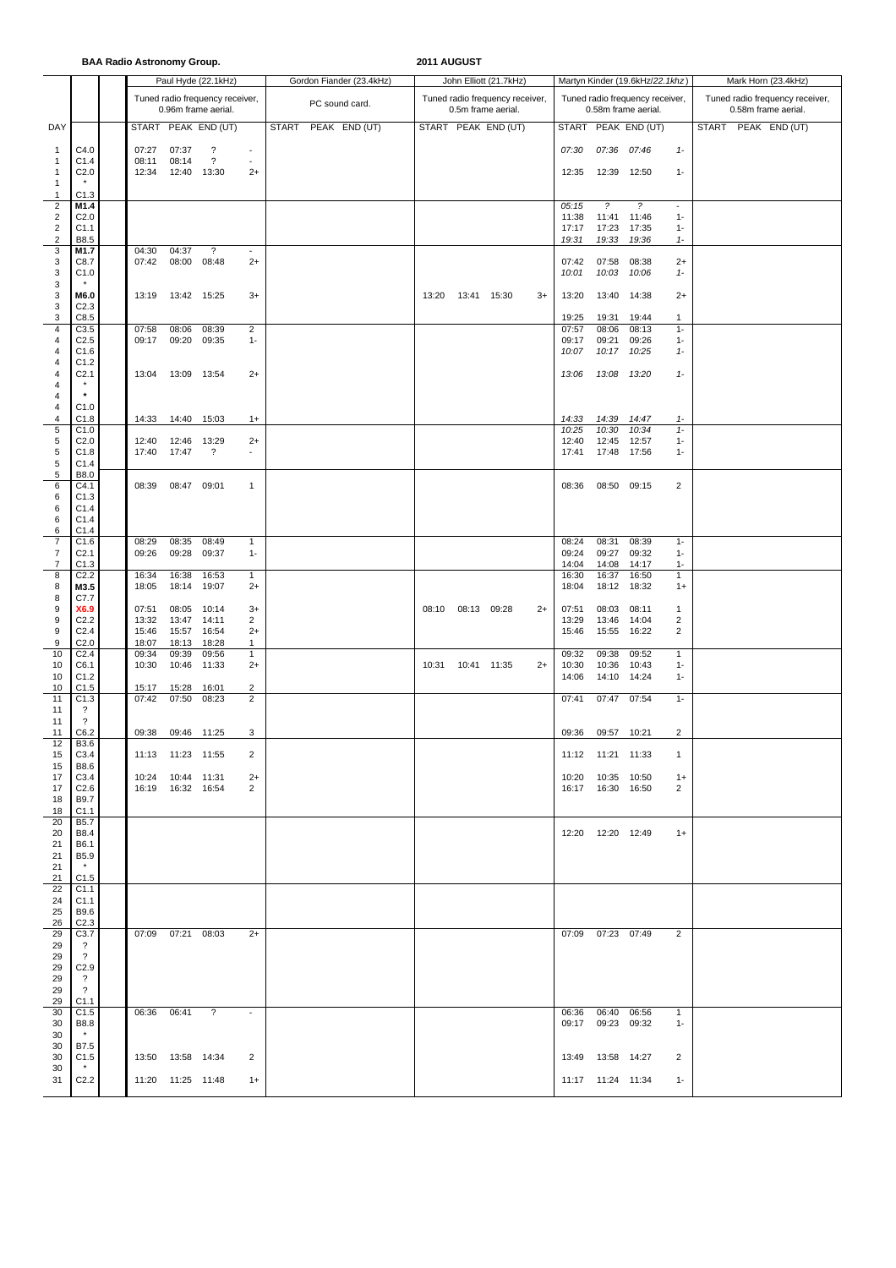**BAA Radio Astronomy Group. 2011 AUGUST**

|                  |                         |       |                     | Paul Hyde (22.1kHz)             |                          | Gordon Fiander (23.4kHz) |       |             | John Elliott (21.7kHz)          |      |       |                     | Martyn Kinder (19.6kHz/22.1khz) |                          | Mark Horn (23.4kHz)             |  |  |
|------------------|-------------------------|-------|---------------------|---------------------------------|--------------------------|--------------------------|-------|-------------|---------------------------------|------|-------|---------------------|---------------------------------|--------------------------|---------------------------------|--|--|
|                  |                         |       |                     |                                 |                          |                          |       |             |                                 |      |       |                     |                                 |                          |                                 |  |  |
|                  |                         |       |                     | Tuned radio frequency receiver, |                          | PC sound card.           |       |             | Tuned radio frequency receiver, |      |       |                     | Tuned radio frequency receiver, |                          | Tuned radio frequency receiver, |  |  |
|                  |                         |       |                     | 0.96m frame aerial.             |                          |                          |       |             | 0.5m frame aerial.              |      |       |                     | 0.58m frame aerial.             |                          | 0.58m frame aerial.             |  |  |
| DAY              |                         |       |                     | START PEAK END (UT)             |                          | START PEAK END (UT)      |       |             | START PEAK END (UT)             |      |       |                     | START PEAK END (UT)             |                          | START PEAK END (UT)             |  |  |
|                  |                         |       |                     |                                 |                          |                          |       |             |                                 |      |       |                     |                                 |                          |                                 |  |  |
| $\mathbf{1}$     | C4.0                    | 07:27 | 07:37               | $\gamma$                        | $\overline{\phantom{a}}$ |                          |       |             |                                 |      | 07:30 | 07:36 07:46         |                                 | $1 -$                    |                                 |  |  |
| $\mathbf{1}$     | C1.4                    | 08:11 | 08:14               | $\overline{\mathcal{E}}$        | $\sim$                   |                          |       |             |                                 |      |       |                     |                                 |                          |                                 |  |  |
| $\overline{1}$   | C <sub>2.0</sub>        | 12:34 | 12:40 13:30         |                                 | $2+$                     |                          |       |             |                                 |      | 12:35 | 12:39 12:50         |                                 | $1 -$                    |                                 |  |  |
| $\mathbf{1}$     |                         |       |                     |                                 |                          |                          |       |             |                                 |      |       |                     |                                 |                          |                                 |  |  |
|                  | C1.3                    |       |                     |                                 |                          |                          |       |             |                                 |      |       |                     |                                 |                          |                                 |  |  |
| $\mathbf{1}$     |                         |       |                     |                                 |                          |                          |       |             |                                 |      |       |                     |                                 |                          |                                 |  |  |
| $\overline{c}$   | M1.4                    |       |                     |                                 |                          |                          |       |             |                                 |      | 05:15 | $\tilde{z}$         | $\tilde{z}$                     | $\overline{\phantom{a}}$ |                                 |  |  |
| $\sqrt{2}$       | C <sub>2.0</sub>        |       |                     |                                 |                          |                          |       |             |                                 |      | 11:38 | 11:41               | 11:46                           | $1 -$                    |                                 |  |  |
| $\sqrt{2}$       | C1.1                    |       |                     |                                 |                          |                          |       |             |                                 |      | 17:17 | 17:23               | 17:35                           | $1 -$                    |                                 |  |  |
| $\boldsymbol{2}$ | B8.5                    |       |                     |                                 |                          |                          |       |             |                                 |      | 19:31 | 19:33               | 19:36                           | $1 -$                    |                                 |  |  |
| 3                | M1.7                    | 04:30 | 04:37               | $\overline{\mathcal{E}}$        | $\blacksquare$           |                          |       |             |                                 |      |       |                     |                                 |                          |                                 |  |  |
| 3                | C8.7                    | 07:42 | 08:00               | 08:48                           | $2+$                     |                          |       |             |                                 |      | 07:42 | 07:58               | 08:38                           | $2+$                     |                                 |  |  |
| 3                | C1.0                    |       |                     |                                 |                          |                          |       |             |                                 |      | 10:01 | 10:03               | 10:06                           | $1-$                     |                                 |  |  |
| 3                |                         |       |                     |                                 |                          |                          |       |             |                                 |      |       |                     |                                 |                          |                                 |  |  |
| 3                | M6.0                    | 13:19 | 13:42 15:25         |                                 | $3+$                     |                          | 13:20 | 13:41 15:30 |                                 | $3+$ | 13:20 | 13:40 14:38         |                                 | $2+$                     |                                 |  |  |
| 3                | C <sub>2.3</sub>        |       |                     |                                 |                          |                          |       |             |                                 |      |       |                     |                                 |                          |                                 |  |  |
| 3                | C8.5                    |       |                     |                                 |                          |                          |       |             |                                 |      | 19:25 | 19:31               | 19:44                           | $\mathbf{1}$             |                                 |  |  |
| 4                | C3.5                    | 07:58 | 08:06               | 08:39                           | $\overline{2}$           |                          |       |             |                                 |      | 07:57 | 08:06               | 08:13                           | $1 -$                    |                                 |  |  |
| 4                | C <sub>2.5</sub>        | 09:17 | 09:20               | 09:35                           | $1 -$                    |                          |       |             |                                 |      | 09:17 | 09:21               | 09:26                           | $1 -$                    |                                 |  |  |
|                  | C1.6                    |       |                     |                                 |                          |                          |       |             |                                 |      | 10:07 | 10:17               | 10:25                           | $1 -$                    |                                 |  |  |
| 4<br>4           | C1.2                    |       |                     |                                 |                          |                          |       |             |                                 |      |       |                     |                                 |                          |                                 |  |  |
|                  |                         |       |                     |                                 |                          |                          |       |             |                                 |      |       |                     |                                 |                          |                                 |  |  |
| 4                | C <sub>2.1</sub>        | 13:04 | 13:09 13:54         |                                 | $2+$                     |                          |       |             |                                 |      | 13:06 | 13:08 13:20         |                                 | $1 -$                    |                                 |  |  |
| 4                | $\star$                 |       |                     |                                 |                          |                          |       |             |                                 |      |       |                     |                                 |                          |                                 |  |  |
| 4                |                         |       |                     |                                 |                          |                          |       |             |                                 |      |       |                     |                                 |                          |                                 |  |  |
| 4                | C1.0                    |       |                     |                                 |                          |                          |       |             |                                 |      |       |                     |                                 |                          |                                 |  |  |
| 4                | C1.8                    | 14:33 | 14:40 15:03         |                                 | $1+$                     |                          |       |             |                                 |      | 14:33 | 14:39               | 14:47                           | $1 -$                    |                                 |  |  |
| 5                | C1.0                    |       |                     |                                 |                          |                          |       |             |                                 |      | 10:25 | 10:30               | 10:34                           | $1 -$                    |                                 |  |  |
| 5                | C <sub>2.0</sub>        | 12:40 | 12:46 13:29         |                                 | $2+$                     |                          |       |             |                                 |      | 12:40 | 12:45 12:57         |                                 | $1 -$                    |                                 |  |  |
| 5                | C1.8                    | 17:40 | 17:47               | ?                               | $\blacksquare$           |                          |       |             |                                 |      | 17:41 | 17:48 17:56         |                                 | $1 -$                    |                                 |  |  |
| 5                | C1.4                    |       |                     |                                 |                          |                          |       |             |                                 |      |       |                     |                                 |                          |                                 |  |  |
| 5                | B8.0                    |       |                     |                                 |                          |                          |       |             |                                 |      |       |                     |                                 |                          |                                 |  |  |
| 6                | C4.1                    | 08:39 | 08:47 09:01         |                                 | 1                        |                          |       |             |                                 |      | 08:36 | 08:50 09:15         |                                 | $\overline{2}$           |                                 |  |  |
| 6                | C1.3                    |       |                     |                                 |                          |                          |       |             |                                 |      |       |                     |                                 |                          |                                 |  |  |
| 6                | C1.4                    |       |                     |                                 |                          |                          |       |             |                                 |      |       |                     |                                 |                          |                                 |  |  |
| 6                | C1.4                    |       |                     |                                 |                          |                          |       |             |                                 |      |       |                     |                                 |                          |                                 |  |  |
|                  |                         |       |                     |                                 |                          |                          |       |             |                                 |      |       |                     |                                 |                          |                                 |  |  |
| 6                | C1.4                    |       |                     |                                 |                          |                          |       |             |                                 |      |       |                     |                                 |                          |                                 |  |  |
| $\overline{7}$   | C1.6                    | 08:29 | 08:35               | 08:49                           | 1                        |                          |       |             |                                 |      | 08:24 | 08:31               | 08:39                           | $1 -$                    |                                 |  |  |
| $\overline{7}$   | C <sub>2.1</sub>        | 09:26 | 09:28               | 09:37                           | $1 -$                    |                          |       |             |                                 |      | 09:24 | 09:27               | 09:32                           | $1 -$                    |                                 |  |  |
| $\overline{7}$   | C1.3                    |       |                     |                                 |                          |                          |       |             |                                 |      | 14:04 | 14:08               | 14:17                           | $1 -$                    |                                 |  |  |
| 8                | C <sub>2.2</sub>        | 16:34 | 16:38               | 16:53                           | $\mathbf{1}$             |                          |       |             |                                 |      | 16:30 | 16:37               | 16:50                           | $\mathbf{1}$             |                                 |  |  |
| 8                | M3.5                    | 18:05 | 18:14               | 19:07                           | $2+$                     |                          |       |             |                                 |      | 18:04 | 18:12               | 18:32                           | $1+$                     |                                 |  |  |
| 8                | C7.7                    |       |                     |                                 |                          |                          |       |             |                                 |      |       |                     |                                 |                          |                                 |  |  |
| 9                | X6.9                    | 07:51 | 08:05               | 10:14                           | $3+$                     |                          | 08:10 | 08:13 09:28 |                                 | $2+$ | 07:51 | 08:03               | 08:11                           | $\mathbf{1}$             |                                 |  |  |
| 9                | C <sub>2.2</sub>        | 13:32 | 13:47               | 14:11                           | $\overline{2}$           |                          |       |             |                                 |      | 13:29 | 13:46               | 14:04                           | $\overline{\mathbf{c}}$  |                                 |  |  |
| 9                | C <sub>2.4</sub>        | 15:46 | 15:57               | 16:54                           | $2+$                     |                          |       |             |                                 |      | 15:46 | 15:55               | 16:22                           | 2                        |                                 |  |  |
| 9                | C <sub>2.0</sub>        | 18:07 | 18:13               | 18:28                           | 1                        |                          |       |             |                                 |      |       |                     |                                 |                          |                                 |  |  |
| 10               | C <sub>2.4</sub>        | 09:34 | 09:39               | 09:56                           | $\mathbf{1}$             |                          |       |             |                                 |      | 09:32 | 09:38               | 09:52                           | $\mathbf{1}$             |                                 |  |  |
| 10               | C6.1                    | 10:30 | 10:46               | 11:33                           | $2+$                     |                          | 10:31 | 10:41 11:35 |                                 | $2+$ | 10:30 | 10:36               | 10:43                           | $1 -$                    |                                 |  |  |
| 10               | C1.2                    |       |                     |                                 |                          |                          |       |             |                                 |      | 14:06 | 14:10               | 14:24                           | $1 -$                    |                                 |  |  |
| 10               | C1.5                    | 15:17 | 15:28               | 16:01                           | 2                        |                          |       |             |                                 |      |       |                     |                                 |                          |                                 |  |  |
| 11               | C1.3                    | 07:42 | 07:50               | 08:23                           | $\overline{2}$           |                          |       |             |                                 |      | 07:41 | 07:47               | 07:54                           | $1 -$                    |                                 |  |  |
|                  |                         |       |                     |                                 |                          |                          |       |             |                                 |      |       |                     |                                 |                          |                                 |  |  |
| 11               | ?<br>$\overline{\cdot}$ |       |                     |                                 |                          |                          |       |             |                                 |      |       |                     |                                 |                          |                                 |  |  |
| 11               |                         |       |                     |                                 |                          |                          |       |             |                                 |      |       |                     |                                 |                          |                                 |  |  |
| 11               | C6.2                    | 09:38 | 09:46 11:25         |                                 | 3                        |                          |       |             |                                 |      | 09:36 | 09:57 10:21         |                                 | $\overline{2}$           |                                 |  |  |
| 12               | B3.6                    |       |                     |                                 |                          |                          |       |             |                                 |      |       |                     |                                 |                          |                                 |  |  |
| 15               | C3.4                    |       | 11:13 11:23 11:55   |                                 | 2                        |                          |       |             |                                 |      |       | 11:12  11:21  11:33 |                                 | $\mathbf{1}$             |                                 |  |  |
| 15               | B8.6                    |       |                     |                                 |                          |                          |       |             |                                 |      |       |                     |                                 |                          |                                 |  |  |
| 17               | C <sub>3.4</sub>        |       | 10:24  10:44  11:31 |                                 | $2+$                     |                          |       |             |                                 |      |       | 10:20  10:35  10:50 |                                 | $1+$                     |                                 |  |  |
| 17               | C <sub>2.6</sub>        |       | 16:19  16:32  16:54 |                                 | 2                        |                          |       |             |                                 |      |       | 16:17  16:30  16:50 |                                 | 2                        |                                 |  |  |
| 18               | B9.7                    |       |                     |                                 |                          |                          |       |             |                                 |      |       |                     |                                 |                          |                                 |  |  |
| 18               | C1.1                    |       |                     |                                 |                          |                          |       |             |                                 |      |       |                     |                                 |                          |                                 |  |  |
| 20               | B5.7                    |       |                     |                                 |                          |                          |       |             |                                 |      |       |                     |                                 |                          |                                 |  |  |
| 20               | B8.4                    |       |                     |                                 |                          |                          |       |             |                                 |      |       | 12:20  12:20  12:49 |                                 | $1+$                     |                                 |  |  |
| 21               | B6.1                    |       |                     |                                 |                          |                          |       |             |                                 |      |       |                     |                                 |                          |                                 |  |  |
| 21               | B5.9                    |       |                     |                                 |                          |                          |       |             |                                 |      |       |                     |                                 |                          |                                 |  |  |
| 21               |                         |       |                     |                                 |                          |                          |       |             |                                 |      |       |                     |                                 |                          |                                 |  |  |
| 21               | C1.5                    |       |                     |                                 |                          |                          |       |             |                                 |      |       |                     |                                 |                          |                                 |  |  |
| 22               | C <sub>1.1</sub>        |       |                     |                                 |                          |                          |       |             |                                 |      |       |                     |                                 |                          |                                 |  |  |
| 24               | C <sub>1.1</sub>        |       |                     |                                 |                          |                          |       |             |                                 |      |       |                     |                                 |                          |                                 |  |  |
| 25               | B9.6                    |       |                     |                                 |                          |                          |       |             |                                 |      |       |                     |                                 |                          |                                 |  |  |
| 26               | C <sub>2.3</sub>        |       |                     |                                 |                          |                          |       |             |                                 |      |       |                     |                                 |                          |                                 |  |  |
|                  |                         |       |                     |                                 |                          |                          |       |             |                                 |      |       |                     |                                 |                          |                                 |  |  |
| 29               | C3.7                    |       | 07:09 07:21 08:03   |                                 | $2+$                     |                          |       |             |                                 |      |       | 07:09 07:23 07:49   |                                 | 2                        |                                 |  |  |
| 29               | $\ddot{?}$              |       |                     |                                 |                          |                          |       |             |                                 |      |       |                     |                                 |                          |                                 |  |  |
| 29               | $\overline{\cdot}$      |       |                     |                                 |                          |                          |       |             |                                 |      |       |                     |                                 |                          |                                 |  |  |
| 29               | C <sub>2.9</sub>        |       |                     |                                 |                          |                          |       |             |                                 |      |       |                     |                                 |                          |                                 |  |  |
| 29               | ?                       |       |                     |                                 |                          |                          |       |             |                                 |      |       |                     |                                 |                          |                                 |  |  |
| 29               | $\overline{\cdot}$      |       |                     |                                 |                          |                          |       |             |                                 |      |       |                     |                                 |                          |                                 |  |  |
| 29               | C1.1                    |       |                     |                                 |                          |                          |       |             |                                 |      |       |                     |                                 |                          |                                 |  |  |
| 30               | C1.5                    |       | 06:36 06:41 ?       |                                 | $\sim$                   |                          |       |             |                                 |      |       | 06:36 06:40 06:56   |                                 | $\mathbf{1}$             |                                 |  |  |
| 30               | B8.8                    |       |                     |                                 |                          |                          |       |             |                                 |      |       | 09:17 09:23 09:32   |                                 | $1 -$                    |                                 |  |  |
| 30               | $\pmb{\star}$           |       |                     |                                 |                          |                          |       |             |                                 |      |       |                     |                                 |                          |                                 |  |  |
| 30               | B7.5                    |       |                     |                                 |                          |                          |       |             |                                 |      |       |                     |                                 |                          |                                 |  |  |
| 30               | C1.5                    |       | 13:50  13:58  14:34 |                                 | 2                        |                          |       |             |                                 |      |       | 13:49  13:58  14:27 |                                 | 2                        |                                 |  |  |
| 30               |                         |       |                     |                                 |                          |                          |       |             |                                 |      |       |                     |                                 |                          |                                 |  |  |
| 31               | C <sub>2.2</sub>        |       | 11:20  11:25  11:48 |                                 | $1+$                     |                          |       |             |                                 |      |       | 11:17  11:24  11:34 |                                 | $1 -$                    |                                 |  |  |
|                  |                         |       |                     |                                 |                          |                          |       |             |                                 |      |       |                     |                                 |                          |                                 |  |  |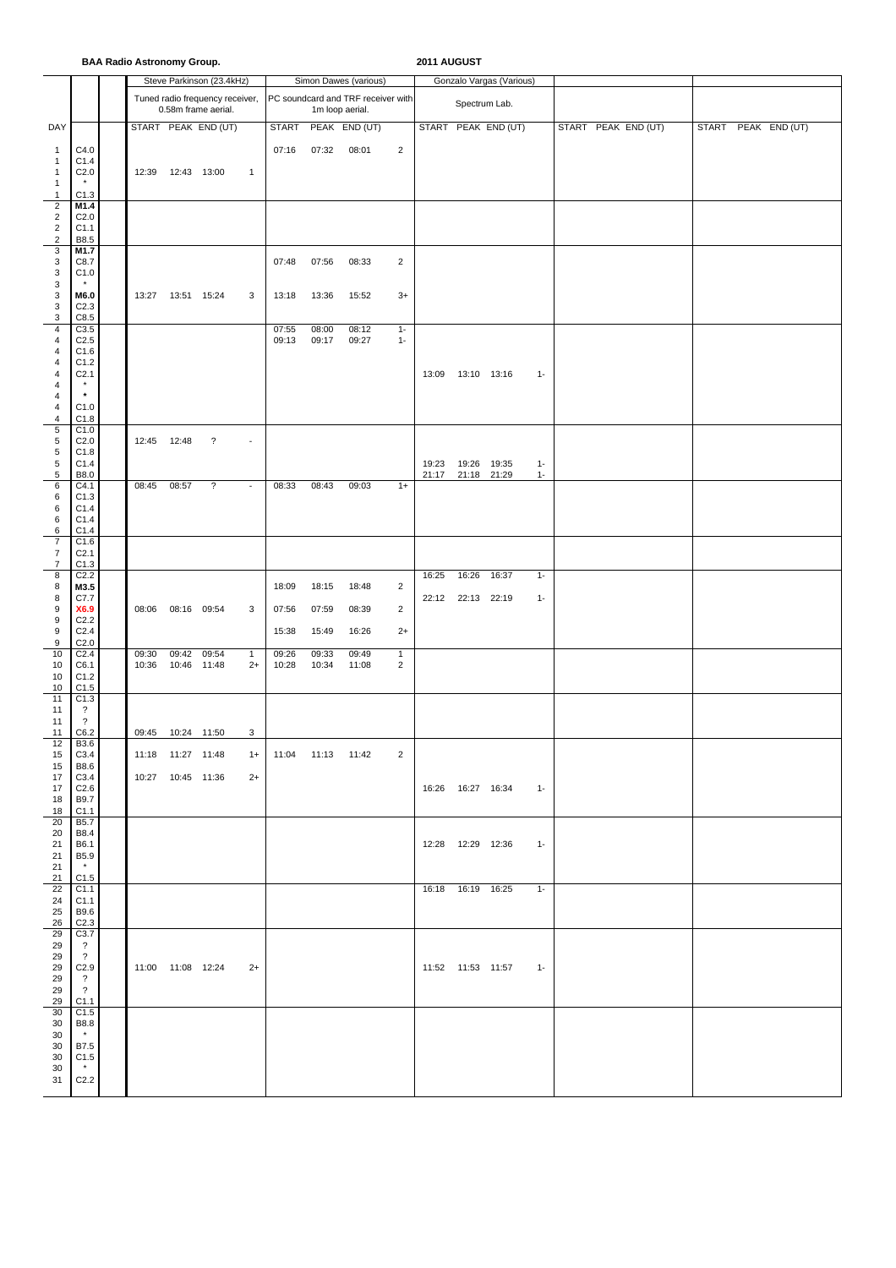|                                                    | <b>BAA Radio Astronomy Group.</b>            |  |             |                     |                                                        |                |                |                     |                                    |                |                | 2011 AUGUST                |                     |                |  |                     |              |  |               |  |  |  |
|----------------------------------------------------|----------------------------------------------|--|-------------|---------------------|--------------------------------------------------------|----------------|----------------|---------------------|------------------------------------|----------------|----------------|----------------------------|---------------------|----------------|--|---------------------|--------------|--|---------------|--|--|--|
|                                                    |                                              |  |             |                     | Steve Parkinson (23.4kHz)                              |                |                |                     | Simon Dawes (various)              |                |                | Gonzalo Vargas (Various)   |                     |                |  |                     |              |  |               |  |  |  |
|                                                    |                                              |  |             |                     | Tuned radio frequency receiver,<br>0.58m frame aerial. |                |                | 1m loop aerial.     | PC soundcard and TRF receiver with |                | Spectrum Lab.  |                            |                     |                |  |                     |              |  |               |  |  |  |
| DAY                                                |                                              |  |             |                     | START PEAK END (UT)                                    |                | <b>START</b>   |                     | PEAK END (UT)                      |                |                |                            | START PEAK END (UT) |                |  | START PEAK END (UT) | <b>START</b> |  | PEAK END (UT) |  |  |  |
| $\mathbf{1}$                                       | C4.0                                         |  |             |                     |                                                        |                | 07:16          | 07:32               | 08:01                              | $\overline{2}$ |                |                            |                     |                |  |                     |              |  |               |  |  |  |
| $\mathbf{1}$<br>$\mathbf{1}$                       | C1.4<br>C <sub>2.0</sub>                     |  |             | 12:39  12:43  13:00 |                                                        | $\overline{1}$ |                |                     |                                    |                |                |                            |                     |                |  |                     |              |  |               |  |  |  |
| $\mathbf{1}$<br>$\mathbf{1}$                       | $\star$<br>C1.3                              |  |             |                     |                                                        |                |                |                     |                                    |                |                |                            |                     |                |  |                     |              |  |               |  |  |  |
| $\overline{2}$                                     | M1.4                                         |  |             |                     |                                                        |                |                |                     |                                    |                |                |                            |                     |                |  |                     |              |  |               |  |  |  |
| $\overline{2}$<br>$\mathbf 2$                      | C <sub>2.0</sub><br>C1.1                     |  |             |                     |                                                        |                |                |                     |                                    |                |                |                            |                     |                |  |                     |              |  |               |  |  |  |
| $\mathbf 2$<br>3                                   | B8.5<br>M1.7                                 |  |             |                     |                                                        |                |                |                     |                                    |                |                |                            |                     |                |  |                     |              |  |               |  |  |  |
| 3                                                  | C8.7                                         |  |             |                     |                                                        |                | 07:48          | 07:56               | 08:33                              | $\overline{2}$ |                |                            |                     |                |  |                     |              |  |               |  |  |  |
| 3<br>3                                             | C1.0                                         |  |             |                     |                                                        |                |                |                     |                                    |                |                |                            |                     |                |  |                     |              |  |               |  |  |  |
| 3<br>3                                             | M6.0<br>C <sub>2.3</sub>                     |  | 13:27       | 13:51 15:24         |                                                        | 3              | 13:18          | 13:36               | 15:52                              | $3+$           |                |                            |                     |                |  |                     |              |  |               |  |  |  |
| 3                                                  | C8.5                                         |  |             |                     |                                                        |                |                |                     |                                    |                |                |                            |                     |                |  |                     |              |  |               |  |  |  |
| $\overline{\mathbf{4}}$<br>$\overline{\mathbf{4}}$ | C3.5<br>C <sub>2.5</sub>                     |  |             |                     |                                                        |                | 07:55<br>09:13 | 08:00<br>09:17      | 08:12<br>09:27                     | $1 -$<br>$1 -$ |                |                            |                     |                |  |                     |              |  |               |  |  |  |
| $\overline{4}$<br>4                                | C1.6<br>C1.2                                 |  |             |                     |                                                        |                |                |                     |                                    |                |                |                            |                     |                |  |                     |              |  |               |  |  |  |
| 4                                                  | C <sub>2.1</sub>                             |  |             |                     |                                                        |                |                |                     |                                    |                |                | 13:09  13:10  13:16        |                     | $1 -$          |  |                     |              |  |               |  |  |  |
| $\overline{4}$<br>$\overline{\mathbf{4}}$          | $\star$                                      |  |             |                     |                                                        |                |                |                     |                                    |                |                |                            |                     |                |  |                     |              |  |               |  |  |  |
| $\overline{\mathbf{4}}$<br>$\overline{4}$          | C1.0<br>C1.8                                 |  |             |                     |                                                        |                |                |                     |                                    |                |                |                            |                     |                |  |                     |              |  |               |  |  |  |
| 5<br>5                                             | C1.0<br>C <sub>2.0</sub>                     |  | 12:45 12:48 |                     | $\overline{\cdot}$                                     | $\blacksquare$ |                |                     |                                    |                |                |                            |                     |                |  |                     |              |  |               |  |  |  |
| 5                                                  | C1.8                                         |  |             |                     |                                                        |                |                |                     |                                    |                |                |                            |                     |                |  |                     |              |  |               |  |  |  |
| $\,$ 5 $\,$<br>5                                   | C1.4<br>B8.0                                 |  |             |                     |                                                        |                |                |                     |                                    |                | 19:23<br>21:17 | 19:26 19:35<br>21:18 21:29 |                     | $1 -$<br>$1 -$ |  |                     |              |  |               |  |  |  |
| 6<br>6                                             | C4.1<br>C1.3                                 |  | 08:45       | 08:57               | $\overline{\mathbf{?}}$                                | $\blacksquare$ | 08:33          | 08:43               | 09:03                              | $1+$           |                |                            |                     |                |  |                     |              |  |               |  |  |  |
| 6<br>6                                             | C1.4<br>C1.4                                 |  |             |                     |                                                        |                |                |                     |                                    |                |                |                            |                     |                |  |                     |              |  |               |  |  |  |
| 6                                                  | C1.4                                         |  |             |                     |                                                        |                |                |                     |                                    |                |                |                            |                     |                |  |                     |              |  |               |  |  |  |
| $\overline{7}$<br>7                                | C1.6<br>C <sub>2.1</sub>                     |  |             |                     |                                                        |                |                |                     |                                    |                |                |                            |                     |                |  |                     |              |  |               |  |  |  |
| $\overline{7}$<br>8                                | C1.3<br>C <sub>2.2</sub>                     |  |             |                     |                                                        |                |                |                     |                                    |                | 16:25          | 16:26                      | 16:37               | $1 -$          |  |                     |              |  |               |  |  |  |
| 8<br>8                                             | M3.5<br>C7.7                                 |  |             |                     |                                                        |                | 18:09          | 18:15               | 18:48                              | $\overline{2}$ |                | 22:12 22:13 22:19          |                     | $1 -$          |  |                     |              |  |               |  |  |  |
| $\boldsymbol{9}$                                   | X6.9                                         |  | 08:06       | 08:16 09:54         |                                                        | 3              | 07:56          | 07:59               | 08:39                              | $\overline{2}$ |                |                            |                     |                |  |                     |              |  |               |  |  |  |
| $\boldsymbol{9}$<br>9                              | C <sub>2.2</sub><br>C <sub>2.4</sub>         |  |             |                     |                                                        |                | 15:38          | 15:49               | 16:26                              | $2+$           |                |                            |                     |                |  |                     |              |  |               |  |  |  |
| 9<br>10                                            | C <sub>2.0</sub><br>C <sub>2.4</sub>         |  | 09:30       | 09:42               | 09:54                                                  | $\mathbf{1}$   | 09:26          | 09:33               | 09:49                              | $\mathbf{1}$   |                |                            |                     |                |  |                     |              |  |               |  |  |  |
| 10                                                 | C6.1                                         |  | 10:36       | 10:46               | 11:48                                                  | $2+$           | 10:28          | 10:34               | 11:08                              | $\overline{2}$ |                |                            |                     |                |  |                     |              |  |               |  |  |  |
| 10<br>10                                           | C1.2<br>C1.5                                 |  |             |                     |                                                        |                |                |                     |                                    |                |                |                            |                     |                |  |                     |              |  |               |  |  |  |
| 11<br>11                                           | C1.3<br>$\overline{\cdot}$                   |  |             |                     |                                                        |                |                |                     |                                    |                |                |                            |                     |                |  |                     |              |  |               |  |  |  |
| 11<br>11                                           | $\overline{?}$<br>C6.2                       |  |             | 09:45 10:24 11:50   |                                                        | 3              |                |                     |                                    |                |                |                            |                     |                |  |                     |              |  |               |  |  |  |
| 12<br>15                                           | B3.6<br>C3.4                                 |  |             | 11:18  11:27  11:48 |                                                        | $1+$           |                | 11:04  11:13  11:42 |                                    | 2              |                |                            |                     |                |  |                     |              |  |               |  |  |  |
| 15                                                 | B8.6                                         |  |             |                     |                                                        |                |                |                     |                                    |                |                |                            |                     |                |  |                     |              |  |               |  |  |  |
| 17<br>17                                           | C3.4<br>C <sub>2.6</sub>                     |  |             | 10:27  10:45  11:36 |                                                        | $2+$           |                |                     |                                    |                |                | 16:26  16:27  16:34        |                     | $1 -$          |  |                     |              |  |               |  |  |  |
| 18<br>18                                           | B9.7<br>C1.1                                 |  |             |                     |                                                        |                |                |                     |                                    |                |                |                            |                     |                |  |                     |              |  |               |  |  |  |
| 20                                                 | <b>B5.7</b>                                  |  |             |                     |                                                        |                |                |                     |                                    |                |                |                            |                     |                |  |                     |              |  |               |  |  |  |
| 20<br>21                                           | B8.4<br>B6.1                                 |  |             |                     |                                                        |                |                |                     |                                    |                |                | 12:28  12:29  12:36        |                     | $1 -$          |  |                     |              |  |               |  |  |  |
| 21<br>21                                           | B5.9<br>$\star$                              |  |             |                     |                                                        |                |                |                     |                                    |                |                |                            |                     |                |  |                     |              |  |               |  |  |  |
| 21<br>22                                           | C1.5<br>C1.1                                 |  |             |                     |                                                        |                |                |                     |                                    |                |                | 16:18  16:19  16:25        |                     | $1 -$          |  |                     |              |  |               |  |  |  |
| 24                                                 | C1.1                                         |  |             |                     |                                                        |                |                |                     |                                    |                |                |                            |                     |                |  |                     |              |  |               |  |  |  |
| 25<br>26                                           | B9.6<br>C <sub>2.3</sub>                     |  |             |                     |                                                        |                |                |                     |                                    |                |                |                            |                     |                |  |                     |              |  |               |  |  |  |
| 29<br>29                                           | C3.7<br>$\overline{\mathcal{L}}$             |  |             |                     |                                                        |                |                |                     |                                    |                |                |                            |                     |                |  |                     |              |  |               |  |  |  |
| 29<br>29                                           | $\overline{\mathcal{E}}$<br>C <sub>2.9</sub> |  |             | 11:00  11:08  12:24 |                                                        | $2+$           |                |                     |                                    |                |                | 11:52  11:53  11:57        |                     | $1 -$          |  |                     |              |  |               |  |  |  |
| 29                                                 | $\overline{\cdot}$                           |  |             |                     |                                                        |                |                |                     |                                    |                |                |                            |                     |                |  |                     |              |  |               |  |  |  |
| 29<br>29                                           | $\overline{?}$<br>C1.1                       |  |             |                     |                                                        |                |                |                     |                                    |                |                |                            |                     |                |  |                     |              |  |               |  |  |  |
| 30<br>30                                           | C1.5<br>B8.8                                 |  |             |                     |                                                        |                |                |                     |                                    |                |                |                            |                     |                |  |                     |              |  |               |  |  |  |
| 30<br>30                                           | $\star$<br>B7.5                              |  |             |                     |                                                        |                |                |                     |                                    |                |                |                            |                     |                |  |                     |              |  |               |  |  |  |
| 30                                                 | C1.5<br>$\star$                              |  |             |                     |                                                        |                |                |                     |                                    |                |                |                            |                     |                |  |                     |              |  |               |  |  |  |
| 30<br>31                                           | C <sub>2.2</sub>                             |  |             |                     |                                                        |                |                |                     |                                    |                |                |                            |                     |                |  |                     |              |  |               |  |  |  |
|                                                    |                                              |  |             |                     |                                                        |                |                |                     |                                    |                |                |                            |                     |                |  |                     |              |  |               |  |  |  |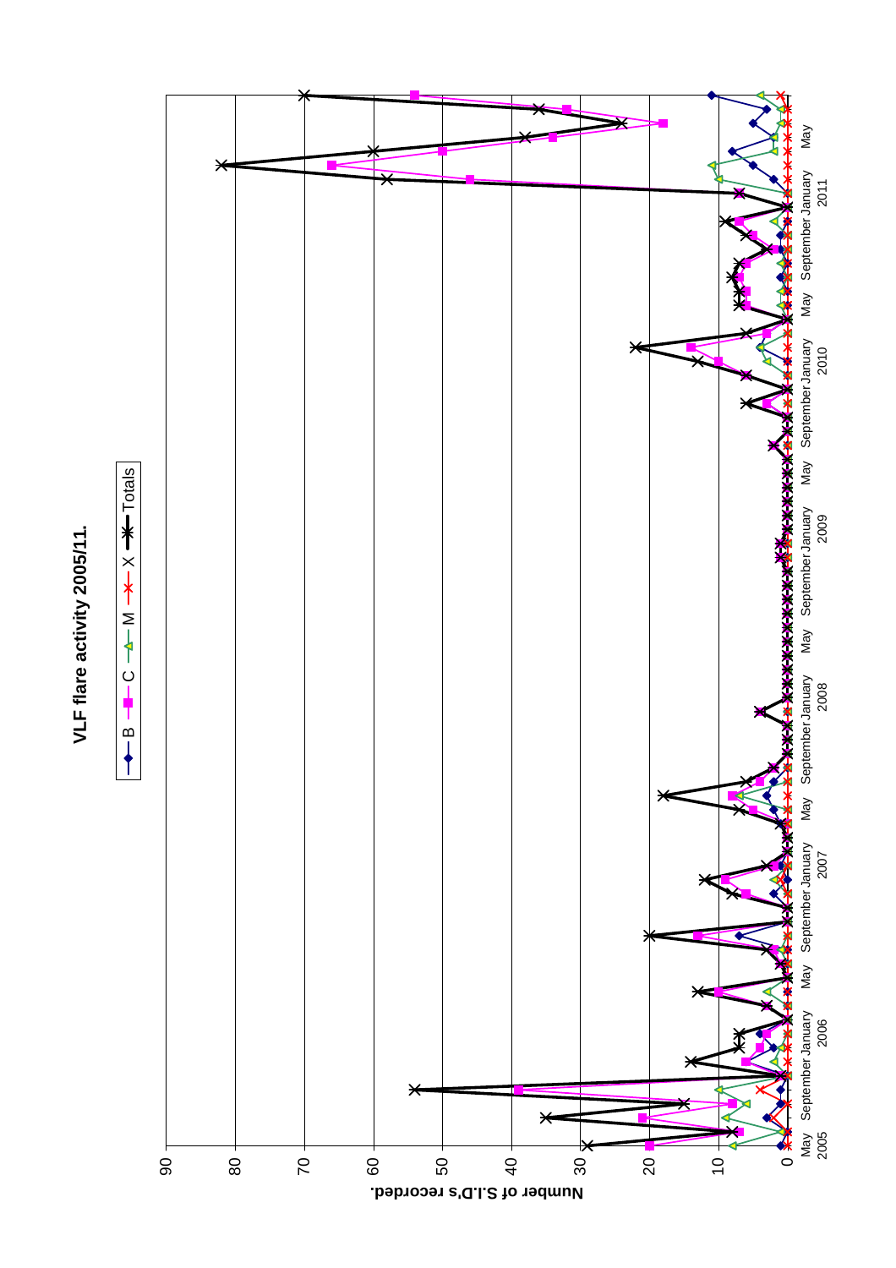



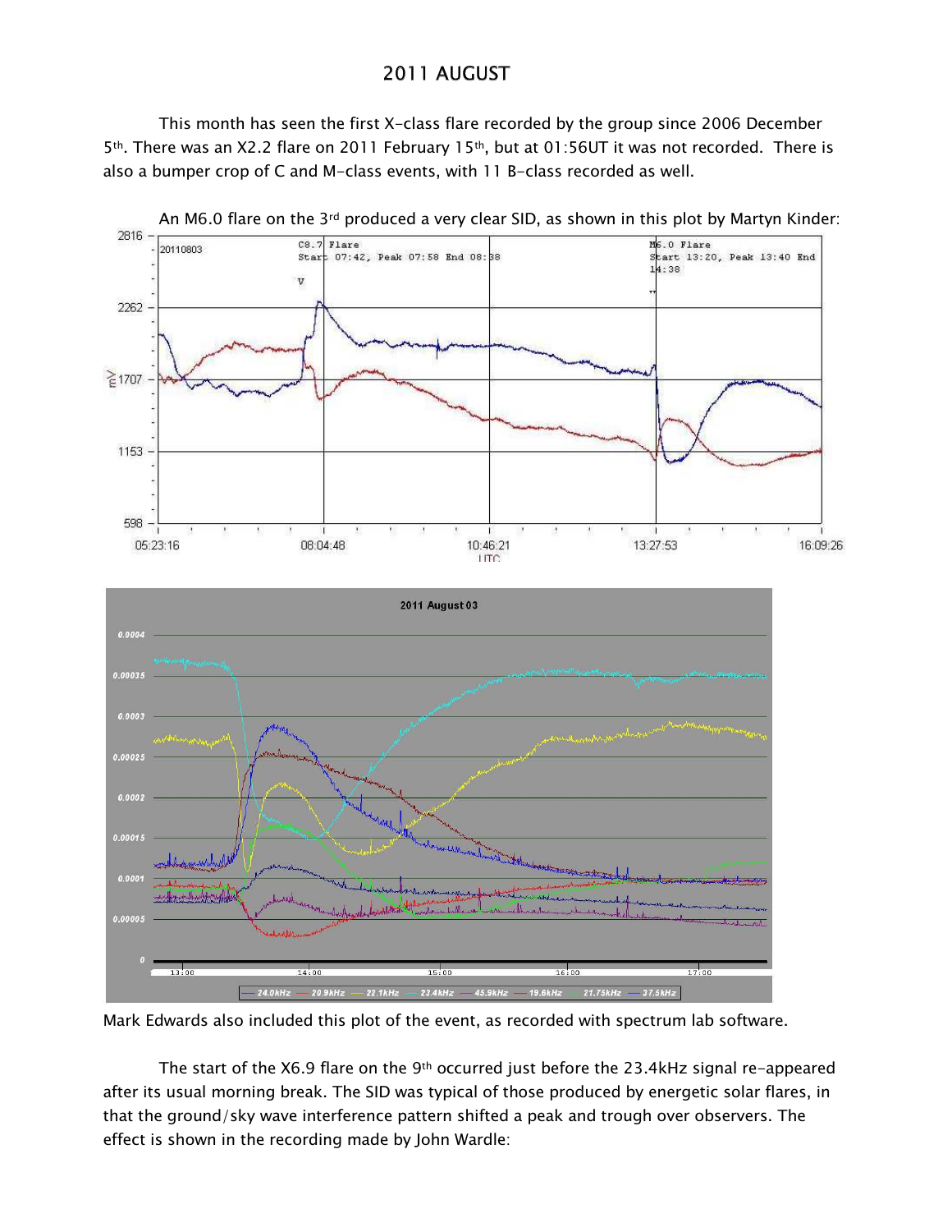## 2011 AUGUST

This month has seen the first X-class flare recorded by the group since 2006 December 5th. There was an X2.2 flare on 2011 February 15th, but at 01:56UT it was not recorded. There is also a bumper crop of C and M-class events, with 11 B-class recorded as well.



Mark Edwards also included this plot of the event, as recorded with spectrum lab software.

The start of the X6.9 flare on the 9<sup>th</sup> occurred just before the 23.4kHz signal re-appeared after its usual morning break. The SID was typical of those produced by energetic solar flares, in that the ground/sky wave interference pattern shifted a peak and trough over observers. The effect is shown in the recording made by John Wardle: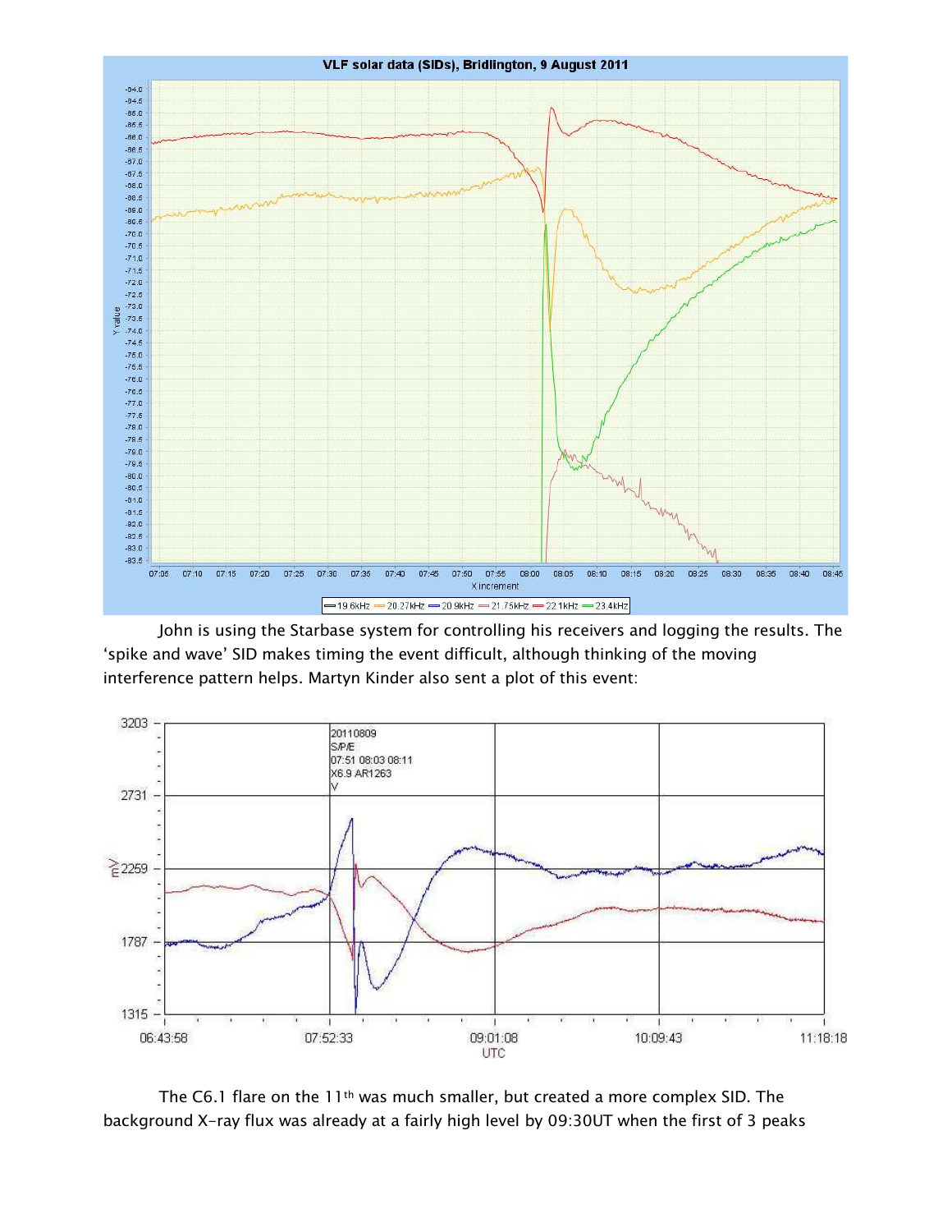

John is using the Starbase system for controlling his receivers and logging the results. The 'spike and wave' SID makes timing the event difficult, although thinking of the moving interference pattern helps. Martyn Kinder also sent a plot of this event:



The C6.1 flare on the 11<sup>th</sup> was much smaller, but created a more complex SID. The background X-ray flux was already at a fairly high level by 09:30UT when the first of 3 peaks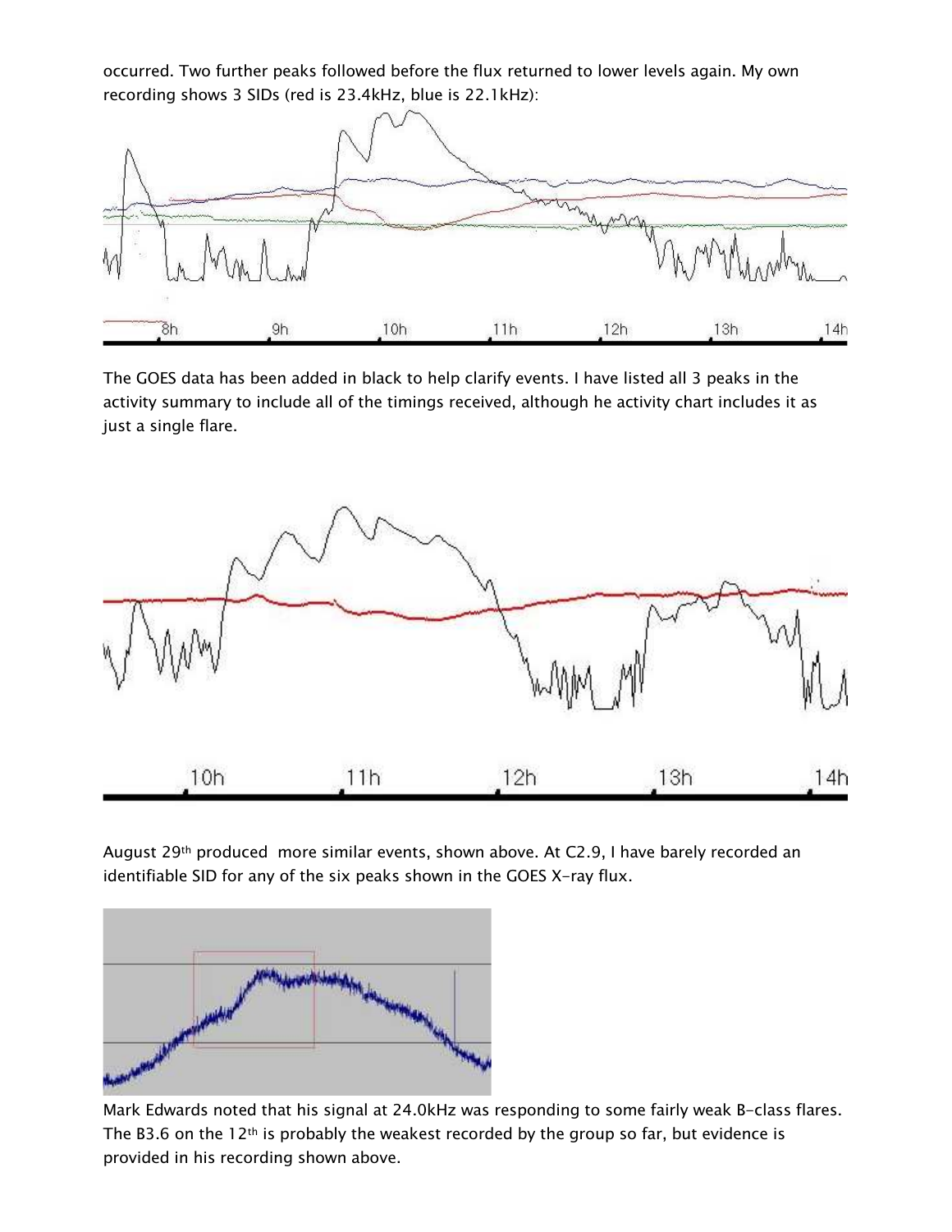occurred. Two further peaks followed before the flux returned to lower levels again. My own recording shows 3 SIDs (red is 23.4kHz, blue is 22.1kHz):



The GOES data has been added in black to help clarify events. I have listed all 3 peaks in the activity summary to include all of the timings received, although he activity chart includes it as just a single flare.



August 29th produced more similar events, shown above. At C2.9, I have barely recorded an identifiable SID for any of the six peaks shown in the GOES X-ray flux.



Mark Edwards noted that his signal at 24.0kHz was responding to some fairly weak B-class flares. The B3.6 on the 12<sup>th</sup> is probably the weakest recorded by the group so far, but evidence is provided in his recording shown above.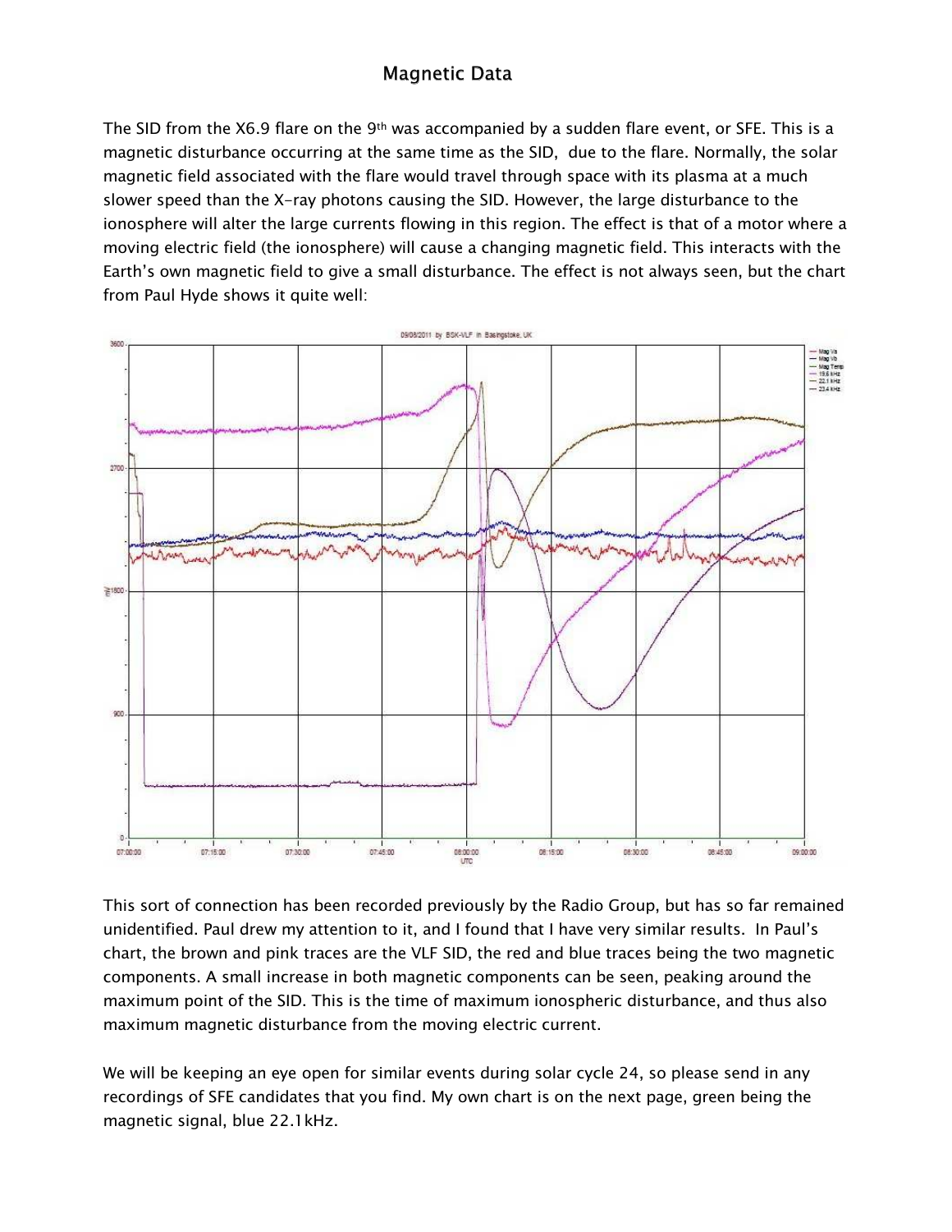# **Magnetic Data**

The SID from the X6.9 flare on the 9<sup>th</sup> was accompanied by a sudden flare event, or SFE. This is a magnetic disturbance occurring at the same time as the SID, due to the flare. Normally, the solar magnetic field associated with the flare would travel through space with its plasma at a much slower speed than the X-ray photons causing the SID. However, the large disturbance to the ionosphere will alter the large currents flowing in this region. The effect is that of a motor where a moving electric field (the ionosphere) will cause a changing magnetic field. This interacts with the Earth's own magnetic field to give a small disturbance. The effect is not always seen, but the chart from Paul Hyde shows it quite well:



This sort of connection has been recorded previously by the Radio Group, but has so far remained unidentified. Paul drew my attention to it, and I found that I have very similar results. In Paul's chart, the brown and pink traces are the VLF SID, the red and blue traces being the two magnetic components. A small increase in both magnetic components can be seen, peaking around the maximum point of the SID. This is the time of maximum ionospheric disturbance, and thus also maximum magnetic disturbance from the moving electric current.

We will be keeping an eye open for similar events during solar cycle 24, so please send in any recordings of SFE candidates that you find. My own chart is on the next page, green being the magnetic signal, blue 22.1 kHz.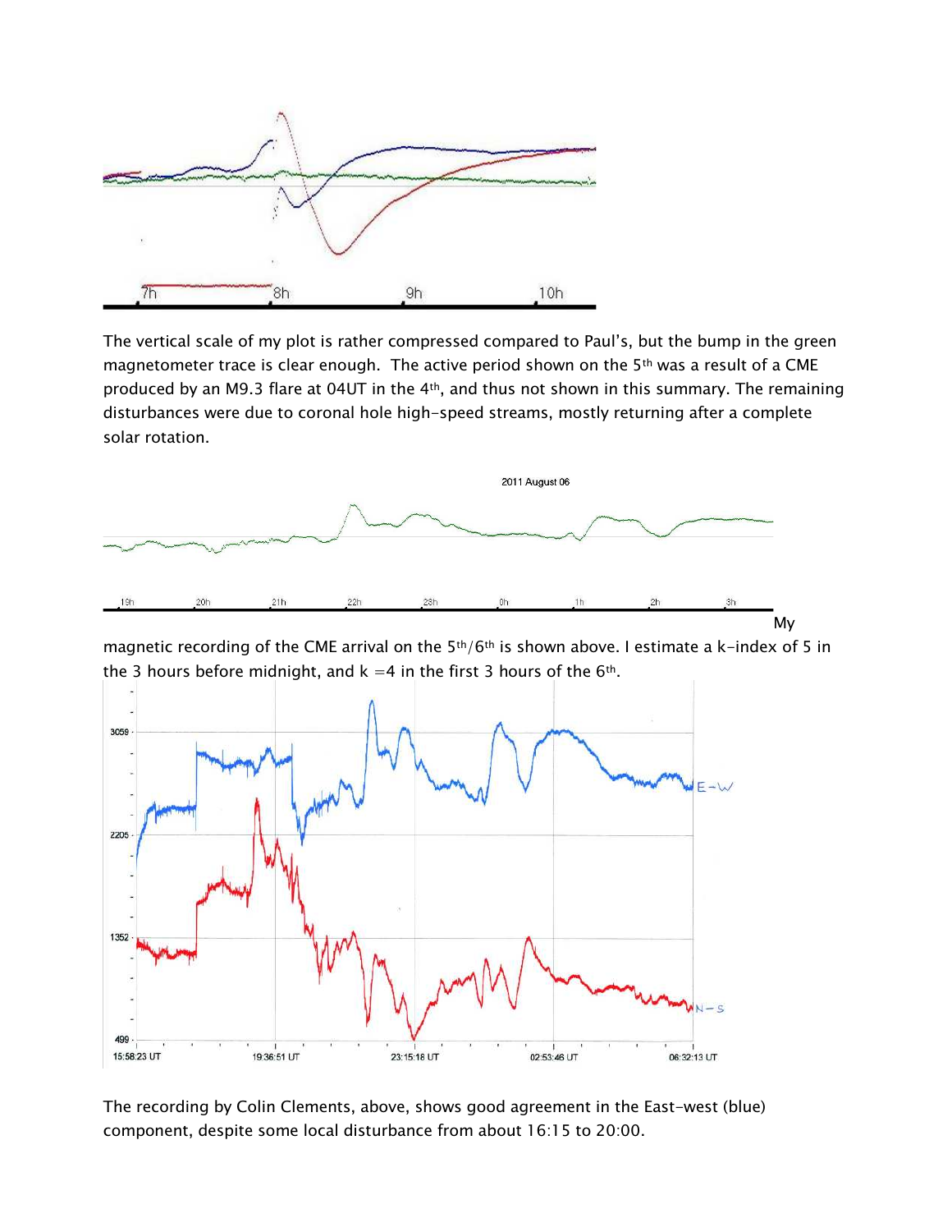

The vertical scale of my plot is rather compressed compared to Paul's, but the bump in the green magnetometer trace is clear enough. The active period shown on the 5<sup>th</sup> was a result of a CME produced by an M9.3 flare at 04UT in the 4<sup>th</sup>, and thus not shown in this summary. The remaining disturbances were due to coronal hole high-speed streams, mostly returning after a complete solar rotation.



magnetic recording of the CME arrival on the 5<sup>th</sup>/6<sup>th</sup> is shown above. I estimate a k-index of 5 in the 3 hours before midnight, and  $k = 4$  in the first 3 hours of the  $6<sup>th</sup>$ .



The recording by Colin Clements, above, shows good agreement in the East-west (blue) component, despite some local disturbance from about 16:15 to 20:00.